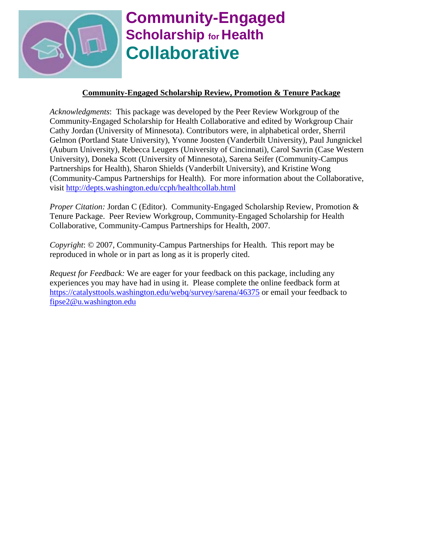

# **Community-Engaged Scholarship** for **Health Collaborative**

# **Community-Engaged Scholarship Review, Promotion & Tenure Package**

*Acknowledgments*: This package was developed by the Peer Review Workgroup of the Community-Engaged Scholarship for Health Collaborative and edited by Workgroup Chair Cathy Jordan (University of Minnesota). Contributors were, in alphabetical order, Sherril Gelmon (Portland State University), Yvonne Joosten (Vanderbilt University), Paul Jungnickel (Auburn University), Rebecca Leugers (University of Cincinnati), Carol Savrin (Case Western University), Doneka Scott (University of Minnesota), Sarena Seifer (Community-Campus Partnerships for Health), Sharon Shields (Vanderbilt University), and Kristine Wong (Community-Campus Partnerships for Health). For more information about the Collaborative, visit http://depts.washington.edu/ccph/healthcollab.html

*Proper Citation:* Jordan C (Editor). Community-Engaged Scholarship Review, Promotion & Tenure Package. Peer Review Workgroup, Community-Engaged Scholarship for Health Collaborative, Community-Campus Partnerships for Health, 2007.

*Copyright*: © 2007, Community-Campus Partnerships for Health*.* This report may be reproduced in whole or in part as long as it is properly cited.

*Request for Feedback:* We are eager for your feedback on this package, including any experiences you may have had in using it. Please complete the online feedback form at https://catalysttools.washington.edu/webq/survey/sarena/46375 or email your feedback to fipse2@u.washington.edu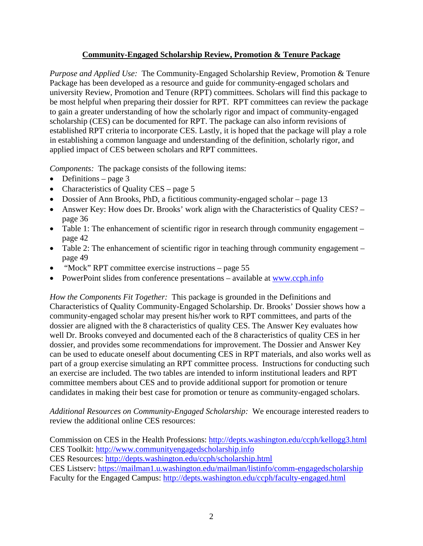# **Community-Engaged Scholarship Review, Promotion & Tenure Package**

*Purpose and Applied Use:* The Community-Engaged Scholarship Review, Promotion & Tenure Package has been developed as a resource and guide for community-engaged scholars and university Review, Promotion and Tenure (RPT) committees. Scholars will find this package to be most helpful when preparing their dossier for RPT. RPT committees can review the package to gain a greater understanding of how the scholarly rigor and impact of community-engaged scholarship (CES) can be documented for RPT. The package can also inform revisions of established RPT criteria to incorporate CES. Lastly, it is hoped that the package will play a role in establishing a common language and understanding of the definition, scholarly rigor, and applied impact of CES between scholars and RPT committees.

*Components:* The package consists of the following items:

- Definitions page  $3$
- Characteristics of Quality CES page 5
- Dossier of Ann Brooks, PhD, a fictitious community-engaged scholar page 13
- Answer Key: How does Dr. Brooks' work align with the Characteristics of Quality CES? page 36
- Table 1: The enhancement of scientific rigor in research through community engagement page 42
- Table 2: The enhancement of scientific rigor in teaching through community engagement page 49
- "Mock" RPT committee exercise instructions page 55
- PowerPoint slides from conference presentations available at www.ccph.info

*How the Components Fit Together:* This package is grounded in the Definitions and Characteristics of Quality Community-Engaged Scholarship. Dr. Brooks' Dossier shows how a community-engaged scholar may present his/her work to RPT committees, and parts of the dossier are aligned with the 8 characteristics of quality CES. The Answer Key evaluates how well Dr. Brooks conveyed and documented each of the 8 characteristics of quality CES in her dossier, and provides some recommendations for improvement. The Dossier and Answer Key can be used to educate oneself about documenting CES in RPT materials, and also works well as part of a group exercise simulating an RPT committee process. Instructions for conducting such an exercise are included. The two tables are intended to inform institutional leaders and RPT committee members about CES and to provide additional support for promotion or tenure candidates in making their best case for promotion or tenure as community-engaged scholars.

*Additional Resources on Community-Engaged Scholarship:* We encourage interested readers to review the additional online CES resources:

Commission on CES in the Health Professions: http://depts.washington.edu/ccph/kellogg3.html CES Toolkit: http://www.communityengagedscholarship.info CES Resources: http://depts.washington.edu/ccph/scholarship.html CES Listserv: https://mailman1.u.washington.edu/mailman/listinfo/comm-engagedscholarship Faculty for the Engaged Campus: http://depts.washington.edu/ccph/faculty-engaged.html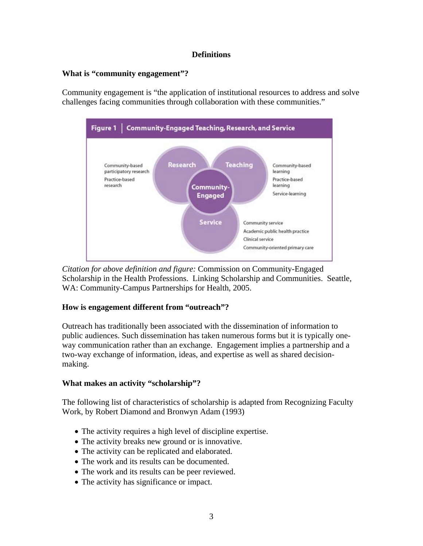# **Definitions**

# **What is "community engagement"?**

Community engagement is "the application of institutional resources to address and solve challenges facing communities through collaboration with these communities."



*Citation for above definition and figure:* Commission on Community-Engaged Scholarship in the Health Professions. Linking Scholarship and Communities. Seattle, WA: Community-Campus Partnerships for Health, 2005.

# **How is engagement different from "outreach"?**

Outreach has traditionally been associated with the dissemination of information to public audiences. Such dissemination has taken numerous forms but it is typically oneway communication rather than an exchange. Engagement implies a partnership and a two-way exchange of information, ideas, and expertise as well as shared decisionmaking.

# **What makes an activity "scholarship"?**

The following list of characteristics of scholarship is adapted from Recognizing Faculty Work, by Robert Diamond and Bronwyn Adam (1993)

- The activity requires a high level of discipline expertise.
- The activity breaks new ground or is innovative.
- The activity can be replicated and elaborated.
- The work and its results can be documented.
- The work and its results can be peer reviewed.
- The activity has significance or impact.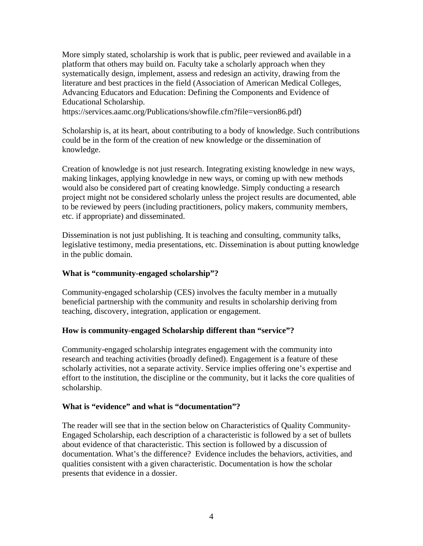More simply stated, scholarship is work that is public, peer reviewed and available in a platform that others may build on. Faculty take a scholarly approach when they systematically design, implement, assess and redesign an activity, drawing from the literature and best practices in the field (Association of American Medical Colleges, Advancing Educators and Education: Defining the Components and Evidence of Educational Scholarship.

https://services.aamc.org/Publications/showfile.cfm?file=version86.pdf)

Scholarship is, at its heart, about contributing to a body of knowledge. Such contributions could be in the form of the creation of new knowledge or the dissemination of knowledge.

Creation of knowledge is not just research. Integrating existing knowledge in new ways, making linkages, applying knowledge in new ways, or coming up with new methods would also be considered part of creating knowledge. Simply conducting a research project might not be considered scholarly unless the project results are documented, able to be reviewed by peers (including practitioners, policy makers, community members, etc. if appropriate) and disseminated.

Dissemination is not just publishing. It is teaching and consulting, community talks, legislative testimony, media presentations, etc. Dissemination is about putting knowledge in the public domain.

## **What is "community-engaged scholarship"?**

Community-engaged scholarship (CES) involves the faculty member in a mutually beneficial partnership with the community and results in scholarship deriving from teaching, discovery, integration, application or engagement.

## **How is community-engaged Scholarship different than "service"?**

Community-engaged scholarship integrates engagement with the community into research and teaching activities (broadly defined). Engagement is a feature of these scholarly activities, not a separate activity. Service implies offering one's expertise and effort to the institution, the discipline or the community, but it lacks the core qualities of scholarship.

## **What is "evidence" and what is "documentation"?**

The reader will see that in the section below on Characteristics of Quality Community-Engaged Scholarship, each description of a characteristic is followed by a set of bullets about evidence of that characteristic. This section is followed by a discussion of documentation. What's the difference? Evidence includes the behaviors, activities, and qualities consistent with a given characteristic. Documentation is how the scholar presents that evidence in a dossier.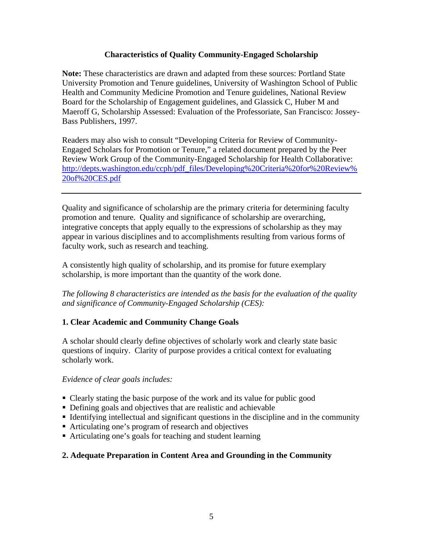# **Characteristics of Quality Community-Engaged Scholarship**

**Note:** These characteristics are drawn and adapted from these sources: Portland State University Promotion and Tenure guidelines, University of Washington School of Public Health and Community Medicine Promotion and Tenure guidelines, National Review Board for the Scholarship of Engagement guidelines, and Glassick C, Huber M and Maeroff G, Scholarship Assessed: Evaluation of the Professoriate, San Francisco: Jossey-Bass Publishers, 1997.

Readers may also wish to consult "Developing Criteria for Review of Community-Engaged Scholars for Promotion or Tenure," a related document prepared by the Peer Review Work Group of the Community-Engaged Scholarship for Health Collaborative: http://depts.washington.edu/ccph/pdf\_files/Developing%20Criteria%20for%20Review% 20of%20CES.pdf

Quality and significance of scholarship are the primary criteria for determining faculty promotion and tenure. Quality and significance of scholarship are overarching, integrative concepts that apply equally to the expressions of scholarship as they may appear in various disciplines and to accomplishments resulting from various forms of faculty work, such as research and teaching.

A consistently high quality of scholarship, and its promise for future exemplary scholarship, is more important than the quantity of the work done.

*The following 8 characteristics are intended as the basis for the evaluation of the quality and significance of Community-Engaged Scholarship (CES):* 

# **1. Clear Academic and Community Change Goals**

A scholar should clearly define objectives of scholarly work and clearly state basic questions of inquiry. Clarity of purpose provides a critical context for evaluating scholarly work.

# *Evidence of clear goals includes:*

- Clearly stating the basic purpose of the work and its value for public good
- Defining goals and objectives that are realistic and achievable
- Identifying intellectual and significant questions in the discipline and in the community
- Articulating one's program of research and objectives
- Articulating one's goals for teaching and student learning

# **2. Adequate Preparation in Content Area and Grounding in the Community**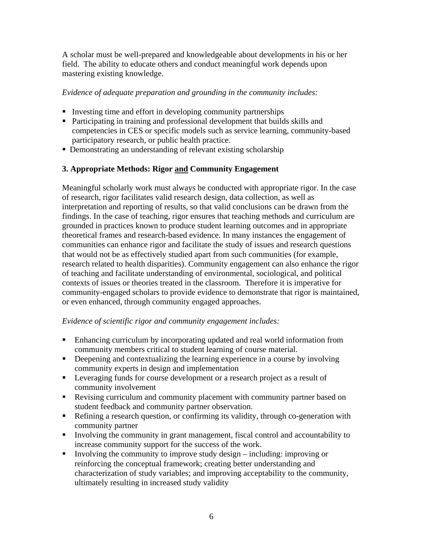A scholar must be well-prepared and knowledgeable about developments in his or her field. The ability to educate others and conduct meaningful work depends upon mastering existing knowledge.

# *Evidence of adequate preparation and grounding in the community includes:*

- Investing time and effort in developing community partnerships
- Participating in training and professional development that builds skills and competencies in CES or specific models such as service learning, community-based participatory research, or public health practice.
- Demonstrating an understanding of relevant existing scholarship

# **3. Appropriate Methods: Rigor and Community Engagement**

Meaningful scholarly work must always be conducted with appropriate rigor. In the case of research, rigor facilitates valid research design, data collection, as well as interpretation and reporting of results, so that valid conclusions can be drawn from the findings. In the case of teaching, rigor ensures that teaching methods and curriculum are grounded in practices known to produce student learning outcomes and in appropriate theoretical frames and research-based evidence. In many instances the engagement of communities can enhance rigor and facilitate the study of issues and research questions that would not be as effectively studied apart from such communities (for example, research related to health disparities). Community engagement can also enhance the rigor of teaching and facilitate understanding of environmental, sociological, and political contexts of issues or theories treated in the classroom. Therefore it is imperative for community-engaged scholars to provide evidence to demonstrate that rigor is maintained, or even enhanced, through community engaged approaches.

## *Evidence of scientific rigor and community engagement includes:*

- Enhancing curriculum by incorporating updated and real world information from community members critical to student learning of course material.
- Deepening and contextualizing the learning experience in a course by involving community experts in design and implementation
- **Leveraging funds for course development or a research project as a result of** community involvement
- Revising curriculum and community placement with community partner based on student feedback and community partner observation.
- Refining a research question, or confirming its validity, through co-generation with community partner
- Involving the community in grant management, fiscal control and accountability to increase community support for the success of the work.
- Involving the community to improve study design including: improving or reinforcing the conceptual framework; creating better understanding and characterization of study variables; and improving acceptability to the community, ultimately resulting in increased study validity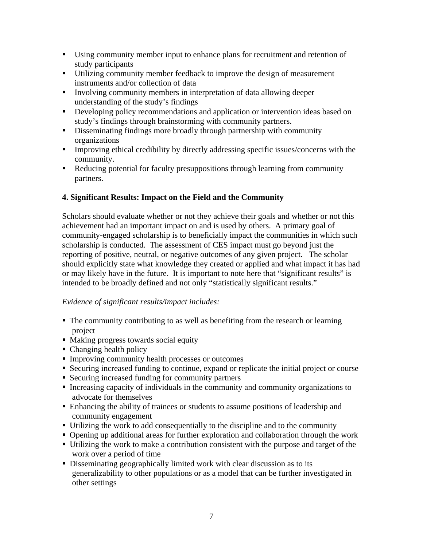- Using community member input to enhance plans for recruitment and retention of study participants
- Utilizing community member feedback to improve the design of measurement instruments and/or collection of data
- Involving community members in interpretation of data allowing deeper understanding of the study's findings
- Developing policy recommendations and application or intervention ideas based on study's findings through brainstorming with community partners.
- Disseminating findings more broadly through partnership with community organizations
- **IMPROVING EXAMPLE 1** Improving ethical credibility by directly addressing specific issues/concerns with the community.
- Reducing potential for faculty presuppositions through learning from community partners.

# **4. Significant Results: Impact on the Field and the Community**

Scholars should evaluate whether or not they achieve their goals and whether or not this achievement had an important impact on and is used by others. A primary goal of community-engaged scholarship is to beneficially impact the communities in which such scholarship is conducted. The assessment of CES impact must go beyond just the reporting of positive, neutral, or negative outcomes of any given project. The scholar should explicitly state what knowledge they created or applied and what impact it has had or may likely have in the future. It is important to note here that "significant results" is intended to be broadly defined and not only "statistically significant results."

# *Evidence of significant results/impact includes:*

- The community contributing to as well as benefiting from the research or learning project
- Making progress towards social equity
- Changing health policy
- **Improving community health processes or outcomes**
- Securing increased funding to continue, expand or replicate the initial project or course
- Securing increased funding for community partners
- Increasing capacity of individuals in the community and community organizations to advocate for themselves
- Enhancing the ability of trainees or students to assume positions of leadership and community engagement
- Utilizing the work to add consequentially to the discipline and to the community
- Opening up additional areas for further exploration and collaboration through the work
- Utilizing the work to make a contribution consistent with the purpose and target of the work over a period of time
- Disseminating geographically limited work with clear discussion as to its generalizability to other populations or as a model that can be further investigated in other settings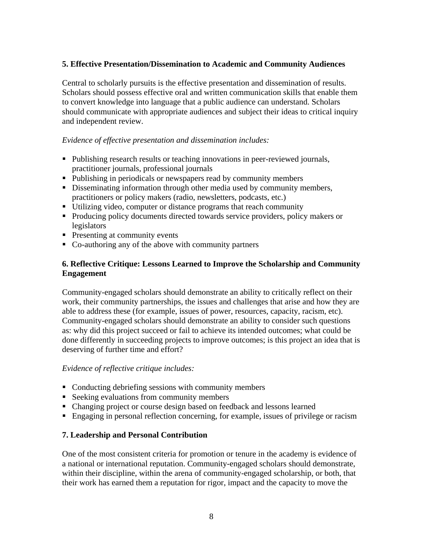# **5. Effective Presentation/Dissemination to Academic and Community Audiences**

Central to scholarly pursuits is the effective presentation and dissemination of results. Scholars should possess effective oral and written communication skills that enable them to convert knowledge into language that a public audience can understand. Scholars should communicate with appropriate audiences and subject their ideas to critical inquiry and independent review.

## *Evidence of effective presentation and dissemination includes:*

- Publishing research results or teaching innovations in peer-reviewed journals, practitioner journals, professional journals
- Publishing in periodicals or newspapers read by community members
- Disseminating information through other media used by community members, practitioners or policy makers (radio, newsletters, podcasts, etc.)
- Utilizing video, computer or distance programs that reach community
- Producing policy documents directed towards service providers, policy makers or legislators
- **Presenting at community events**
- Co-authoring any of the above with community partners

# **6. Reflective Critique: Lessons Learned to Improve the Scholarship and Community Engagement**

Community-engaged scholars should demonstrate an ability to critically reflect on their work, their community partnerships, the issues and challenges that arise and how they are able to address these (for example, issues of power, resources, capacity, racism, etc). Community-engaged scholars should demonstrate an ability to consider such questions as: why did this project succeed or fail to achieve its intended outcomes; what could be done differently in succeeding projects to improve outcomes; is this project an idea that is deserving of further time and effort?

## *Evidence of reflective critique includes:*

- Conducting debriefing sessions with community members
- Seeking evaluations from community members
- Changing project or course design based on feedback and lessons learned
- Engaging in personal reflection concerning, for example, issues of privilege or racism

## **7. Leadership and Personal Contribution**

One of the most consistent criteria for promotion or tenure in the academy is evidence of a national or international reputation. Community-engaged scholars should demonstrate, within their discipline, within the arena of community-engaged scholarship, or both, that their work has earned them a reputation for rigor, impact and the capacity to move the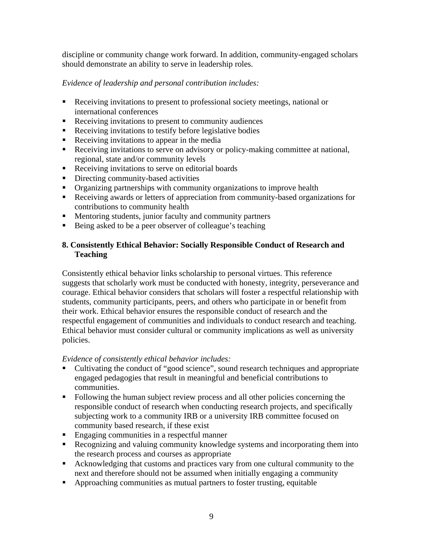discipline or community change work forward. In addition, community-engaged scholars should demonstrate an ability to serve in leadership roles.

# *Evidence of leadership and personal contribution includes:*

- Receiving invitations to present to professional society meetings, national or international conferences
- Receiving invitations to present to community audiences
- Receiving invitations to testify before legislative bodies
- Receiving invitations to appear in the media
- Receiving invitations to serve on advisory or policy-making committee at national, regional, state and/or community levels
- Receiving invitations to serve on editorial boards
- Directing community-based activities
- Organizing partnerships with community organizations to improve health
- Receiving awards or letters of appreciation from community-based organizations for contributions to community health
- **Mentoring students, junior faculty and community partners**
- Being asked to be a peer observer of colleague's teaching

# **8. Consistently Ethical Behavior: Socially Responsible Conduct of Research and Teaching**

Consistently ethical behavior links scholarship to personal virtues. This reference suggests that scholarly work must be conducted with honesty, integrity, perseverance and courage. Ethical behavior considers that scholars will foster a respectful relationship with students, community participants, peers, and others who participate in or benefit from their work. Ethical behavior ensures the responsible conduct of research and the respectful engagement of communities and individuals to conduct research and teaching. Ethical behavior must consider cultural or community implications as well as university policies.

## *Evidence of consistently ethical behavior includes:*

- Cultivating the conduct of "good science", sound research techniques and appropriate engaged pedagogies that result in meaningful and beneficial contributions to communities.
- Following the human subject review process and all other policies concerning the responsible conduct of research when conducting research projects, and specifically subjecting work to a community IRB or a university IRB committee focused on community based research, if these exist
- **Engaging communities in a respectful manner**
- Recognizing and valuing community knowledge systems and incorporating them into the research process and courses as appropriate
- Acknowledging that customs and practices vary from one cultural community to the next and therefore should not be assumed when initially engaging a community
- Approaching communities as mutual partners to foster trusting, equitable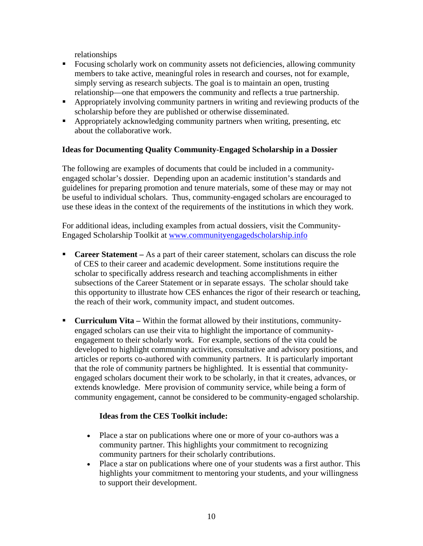relationships

- Focusing scholarly work on community assets not deficiencies, allowing community members to take active, meaningful roles in research and courses, not for example, simply serving as research subjects. The goal is to maintain an open, trusting relationship—one that empowers the community and reflects a true partnership.
- Appropriately involving community partners in writing and reviewing products of the scholarship before they are published or otherwise disseminated.
- Appropriately acknowledging community partners when writing, presenting, etc about the collaborative work.

# **Ideas for Documenting Quality Community-Engaged Scholarship in a Dossier**

The following are examples of documents that could be included in a communityengaged scholar's dossier. Depending upon an academic institution's standards and guidelines for preparing promotion and tenure materials, some of these may or may not be useful to individual scholars. Thus, community-engaged scholars are encouraged to use these ideas in the context of the requirements of the institutions in which they work.

For additional ideas, including examples from actual dossiers, visit the Community-Engaged Scholarship Toolkit at www.communityengagedscholarship.info

- **Career Statement** As a part of their career statement, scholars can discuss the role of CES to their career and academic development. Some institutions require the scholar to specifically address research and teaching accomplishments in either subsections of the Career Statement or in separate essays. The scholar should take this opportunity to illustrate how CES enhances the rigor of their research or teaching, the reach of their work, community impact, and student outcomes.
- **Curriculum Vita –** Within the format allowed by their institutions, communityengaged scholars can use their vita to highlight the importance of communityengagement to their scholarly work. For example, sections of the vita could be developed to highlight community activities, consultative and advisory positions, and articles or reports co-authored with community partners. It is particularly important that the role of community partners be highlighted. It is essential that communityengaged scholars document their work to be scholarly, in that it creates, advances, or extends knowledge. Mere provision of community service, while being a form of community engagement, cannot be considered to be community-engaged scholarship.

## **Ideas from the CES Toolkit include:**

- Place a star on publications where one or more of your co-authors was a community partner. This highlights your commitment to recognizing community partners for their scholarly contributions.
- Place a star on publications where one of your students was a first author. This highlights your commitment to mentoring your students, and your willingness to support their development.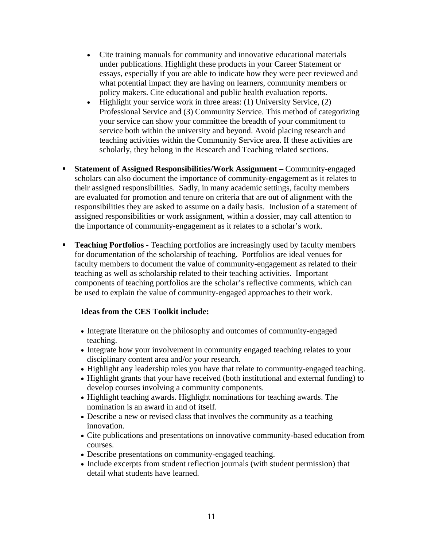- Cite training manuals for community and innovative educational materials under publications. Highlight these products in your Career Statement or essays, especially if you are able to indicate how they were peer reviewed and what potential impact they are having on learners, community members or policy makers. Cite educational and public health evaluation reports.
- Highlight your service work in three areas: (1) University Service, (2) Professional Service and (3) Community Service. This method of categorizing your service can show your committee the breadth of your commitment to service both within the university and beyond. Avoid placing research and teaching activities within the Community Service area. If these activities are scholarly, they belong in the Research and Teaching related sections.
- **Statement of Assigned Responsibilities/Work Assignment –** Community-engaged scholars can also document the importance of community-engagement as it relates to their assigned responsibilities. Sadly, in many academic settings, faculty members are evaluated for promotion and tenure on criteria that are out of alignment with the responsibilities they are asked to assume on a daily basis. Inclusion of a statement of assigned responsibilities or work assignment, within a dossier, may call attention to the importance of community-engagement as it relates to a scholar's work.
- **Teaching Portfolios -** Teaching portfolios are increasingly used by faculty members for documentation of the scholarship of teaching. Portfolios are ideal venues for faculty members to document the value of community-engagement as related to their teaching as well as scholarship related to their teaching activities. Important components of teaching portfolios are the scholar's reflective comments, which can be used to explain the value of community-engaged approaches to their work.

# **Ideas from the CES Toolkit include:**

- Integrate literature on the philosophy and outcomes of community-engaged teaching.
- Integrate how your involvement in community engaged teaching relates to your disciplinary content area and/or your research.
- Highlight any leadership roles you have that relate to community-engaged teaching.
- Highlight grants that your have received (both institutional and external funding) to develop courses involving a community components.
- Highlight teaching awards. Highlight nominations for teaching awards. The nomination is an award in and of itself.
- Describe a new or revised class that involves the community as a teaching innovation.
- Cite publications and presentations on innovative community-based education from courses.
- Describe presentations on community-engaged teaching.
- Include excerpts from student reflection journals (with student permission) that detail what students have learned.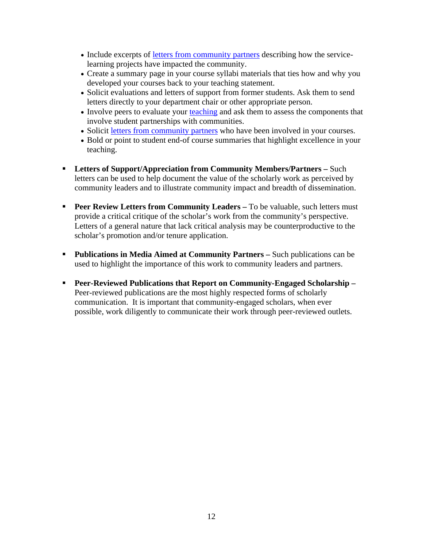- Include excerpts of letters from community partners describing how the servicelearning projects have impacted the community.
- Create a summary page in your course syllabi materials that ties how and why you developed your courses back to your teaching statement.
- Solicit evaluations and letters of support from former students. Ask them to send letters directly to your department chair or other appropriate person.
- Involve peers to evaluate your teaching and ask them to assess the components that involve student partnerships with communities.
- Solicit letters from community partners who have been involved in your courses.
- Bold or point to student end-of course summaries that highlight excellence in your teaching.
- **Letters of Support/Appreciation from Community Members/Partners –** Such letters can be used to help document the value of the scholarly work as perceived by community leaders and to illustrate community impact and breadth of dissemination.
- **Peer Review Letters from Community Leaders –** To be valuable, such letters must provide a critical critique of the scholar's work from the community's perspective. Letters of a general nature that lack critical analysis may be counterproductive to the scholar's promotion and/or tenure application.
- **Publications in Media Aimed at Community Partners –** Such publications can be used to highlight the importance of this work to community leaders and partners.
- **Peer-Reviewed Publications that Report on Community-Engaged Scholarship**  Peer-reviewed publications are the most highly respected forms of scholarly communication. It is important that community-engaged scholars, when ever possible, work diligently to communicate their work through peer-reviewed outlets.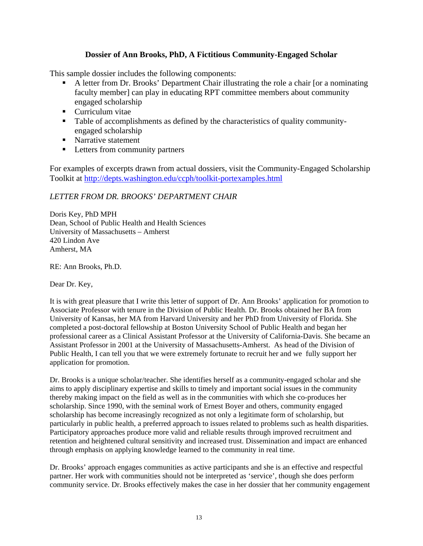## **Dossier of Ann Brooks, PhD, A Fictitious Community-Engaged Scholar**

This sample dossier includes the following components:

- A letter from Dr. Brooks' Department Chair illustrating the role a chair [or a nominating faculty member] can play in educating RPT committee members about community engaged scholarship
- **Curriculum vitae**
- Table of accomplishments as defined by the characteristics of quality communityengaged scholarship
- Narrative statement
- **Letters from community partners**

For examples of excerpts drawn from actual dossiers, visit the Community-Engaged Scholarship Toolkit at http://depts.washington.edu/ccph/toolkit-portexamples.html

# *LETTER FROM DR. BROOKS' DEPARTMENT CHAIR*

Doris Key, PhD MPH Dean, School of Public Health and Health Sciences University of Massachusetts – Amherst 420 Lindon Ave Amherst, MA

RE: Ann Brooks, Ph.D.

Dear Dr. Key,

It is with great pleasure that I write this letter of support of Dr. Ann Brooks' application for promotion to Associate Professor with tenure in the Division of Public Health. Dr. Brooks obtained her BA from University of Kansas, her MA from Harvard University and her PhD from University of Florida. She completed a post-doctoral fellowship at Boston University School of Public Health and began her professional career as a Clinical Assistant Professor at the University of California-Davis. She became an Assistant Professor in 2001 at the University of Massachusetts-Amherst. As head of the Division of Public Health, I can tell you that we were extremely fortunate to recruit her and we fully support her application for promotion.

Dr. Brooks is a unique scholar/teacher. She identifies herself as a community-engaged scholar and she aims to apply disciplinary expertise and skills to timely and important social issues in the community thereby making impact on the field as well as in the communities with which she co-produces her scholarship. Since 1990, with the seminal work of Ernest Boyer and others, community engaged scholarship has become increasingly recognized as not only a legitimate form of scholarship, but particularly in public health, a preferred approach to issues related to problems such as health disparities. Participatory approaches produce more valid and reliable results through improved recruitment and retention and heightened cultural sensitivity and increased trust. Dissemination and impact are enhanced through emphasis on applying knowledge learned to the community in real time.

Dr. Brooks' approach engages communities as active participants and she is an effective and respectful partner. Her work with communities should not be interpreted as 'service', though she does perform community service. Dr. Brooks effectively makes the case in her dossier that her community engagement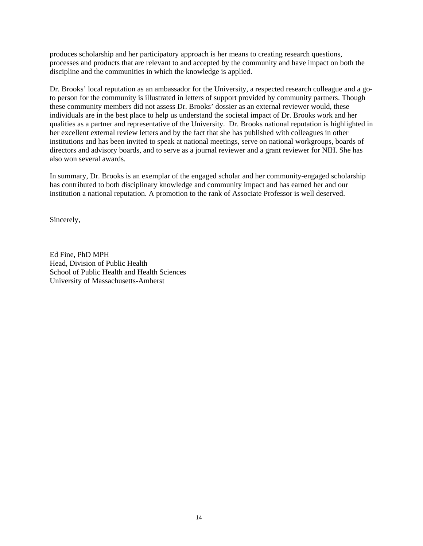produces scholarship and her participatory approach is her means to creating research questions, processes and products that are relevant to and accepted by the community and have impact on both the discipline and the communities in which the knowledge is applied.

Dr. Brooks' local reputation as an ambassador for the University, a respected research colleague and a goto person for the community is illustrated in letters of support provided by community partners. Though these community members did not assess Dr. Brooks' dossier as an external reviewer would, these individuals are in the best place to help us understand the societal impact of Dr. Brooks work and her qualities as a partner and representative of the University. Dr. Brooks national reputation is highlighted in her excellent external review letters and by the fact that she has published with colleagues in other institutions and has been invited to speak at national meetings, serve on national workgroups, boards of directors and advisory boards, and to serve as a journal reviewer and a grant reviewer for NIH. She has also won several awards.

In summary, Dr. Brooks is an exemplar of the engaged scholar and her community-engaged scholarship has contributed to both disciplinary knowledge and community impact and has earned her and our institution a national reputation. A promotion to the rank of Associate Professor is well deserved.

Sincerely,

Ed Fine, PhD MPH Head, Division of Public Health School of Public Health and Health Sciences University of Massachusetts-Amherst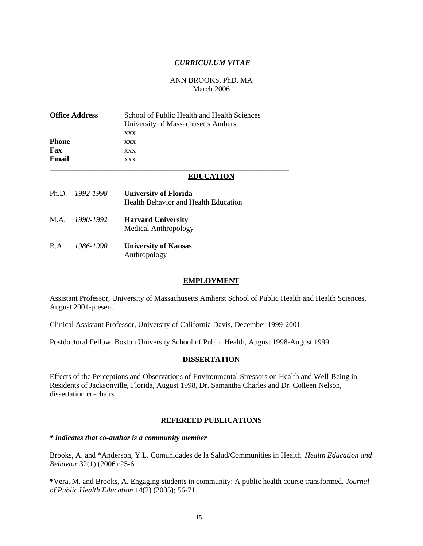## *CURRICULUM VITAE*

## ANN BROOKS, PhD, MA March 2006

| <b>Office Address</b><br>Phone<br>Fax<br>Email |                 | School of Public Health and Health Sciences<br>University of Massachusetts Amherst<br>XXX<br><b>XXX</b><br>XXX<br>XXX |  |
|------------------------------------------------|-----------------|-----------------------------------------------------------------------------------------------------------------------|--|
|                                                |                 | <b>EDUCATION</b>                                                                                                      |  |
|                                                | Ph.D. 1992-1998 | <b>University of Florida</b><br><b>Health Behavior and Health Education</b>                                           |  |
|                                                | M.A. 1990-1992  | <b>Harvard University</b><br>Medical Anthropology                                                                     |  |
| $\mathbf{B} \cdot \mathbf{A}$ .                | 1986-1990       | <b>University of Kansas</b><br>Anthropology                                                                           |  |

#### **EMPLOYMENT**

Assistant Professor, University of Massachusetts Amherst School of Public Health and Health Sciences, August 2001-present

Clinical Assistant Professor, University of California Davis, December 1999-2001

Postdoctoral Fellow, Boston University School of Public Health, August 1998-August 1999

#### **DISSERTATION**

Effects of the Perceptions and Observations of Environmental Stressors on Health and Well-Being in Residents of Jacksonville, Florida, August 1998, Dr. Samantha Charles and Dr. Colleen Nelson, dissertation co-chairs

## **REFEREED PUBLICATIONS**

#### *\* indicates that co-author is a community member*

Brooks, A. and \*Anderson, Y.L. Comunidades de la Salud/Communities in Health. *Health Education and Behavior* 32(1) (2006):25-6.

\*Vera, M. and Brooks, A. Engaging students in community: A public health course transformed. *Journal of Public Health Education* 14(2) (2005); 56-71.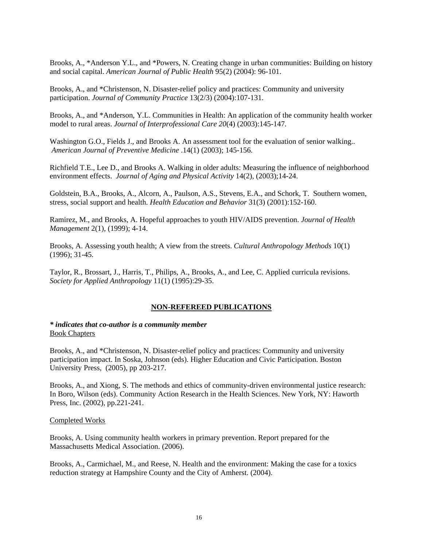Brooks, A., \*Anderson Y.L., and \*Powers, N. Creating change in urban communities: Building on history and social capital. *American Journal of Public Health* 95(2) (2004): 96-101.

Brooks, A., and \*Christenson, N. Disaster-relief policy and practices: Community and university participation. *Journal of Community Practice* 13(2/3) (2004):107-131.

Brooks, A., and \*Anderson, Y.L. Communities in Health: An application of the community health worker model to rural areas. *Journal of Interprofessional Care 20*(4) (2003):145-147*.* 

Washington G.O., Fields J., and Brooks A. An assessment tool for the evaluation of senior walking.. *American Journal of Preventive Medicine* .14(1) (2003); 145-156.

Richfield T.E., Lee D., and Brooks A. Walking in older adults: Measuring the influence of neighborhood environment effects. *Journal of Aging and Physical Activity* 14(2), (2003);14-24.

Goldstein, B.A., Brooks, A., Alcorn, A., Paulson, A.S., Stevens, E.A., and Schork, T. Southern women, stress, social support and health. *Health Education and Behavior* 31(3) (2001):152-160.

Ramirez, M., and Brooks, A. Hopeful approaches to youth HIV/AIDS prevention. *Journal of Health Management* 2(1), (1999); 4-14.

Brooks, A. Assessing youth health; A view from the streets. *Cultural Anthropology Methods* 10(1) (1996); 31-45.

Taylor, R., Brossart, J., Harris, T., Philips, A., Brooks, A., and Lee, C. Applied curricula revisions. *Society for Applied Anthropology* 11(1) (1995):29-35.

#### **NON-REFEREED PUBLICATIONS**

## *\* indicates that co-author is a community member*  Book Chapters

Brooks, A., and \*Christenson, N. Disaster-relief policy and practices: Community and university participation impact. In Soska, Johnson (eds). Higher Education and Civic Participation. Boston University Press, (2005), pp 203-217.

Brooks, A., and Xiong, S. The methods and ethics of community-driven environmental justice research: In Boro, Wilson (eds). Community Action Research in the Health Sciences. New York, NY: Haworth Press, Inc. (2002), pp.221-241.

#### Completed Works

Brooks, A. Using community health workers in primary prevention. Report prepared for the Massachusetts Medical Association. (2006).

Brooks, A., Carmichael, M., and Reese, N. Health and the environment: Making the case for a toxics reduction strategy at Hampshire County and the City of Amherst. (2004).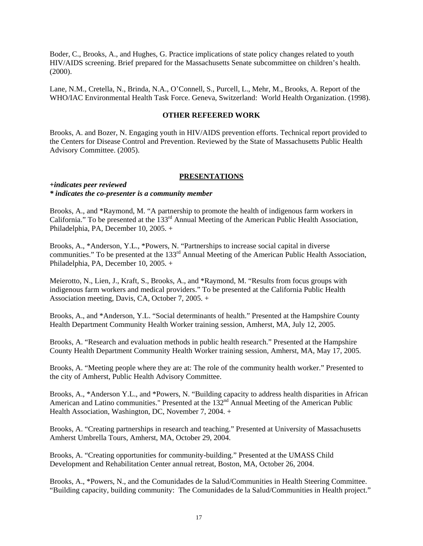Boder, C., Brooks, A., and Hughes, G. Practice implications of state policy changes related to youth HIV/AIDS screening. Brief prepared for the Massachusetts Senate subcommittee on children's health. (2000).

Lane, N.M., Cretella, N., Brinda, N.A., O'Connell, S., Purcell, L., Mehr, M., Brooks, A. Report of the WHO/IAC Environmental Health Task Force. Geneva, Switzerland: World Health Organization. (1998).

## **OTHER REFEERED WORK**

Brooks, A. and Bozer, N. Engaging youth in HIV/AIDS prevention efforts. Technical report provided to the Centers for Disease Control and Prevention. Reviewed by the State of Massachusetts Public Health Advisory Committee. (2005).

#### **PRESENTATIONS**

#### *+indicates peer reviewed \* indicates the co-presenter is a community member*

Brooks, A., and \*Raymond, M. "A partnership to promote the health of indigenous farm workers in California." To be presented at the  $133<sup>rd</sup>$  Annual Meeting of the American Public Health Association, Philadelphia, PA, December 10, 2005. +

Brooks, A., \*Anderson, Y.L., \*Powers, N. "Partnerships to increase social capital in diverse communities." To be presented at the 133<sup>rd</sup> Annual Meeting of the American Public Health Association, Philadelphia, PA, December 10, 2005. +

Meierotto, N., Lien, J., Kraft, S., Brooks, A., and \*Raymond, M. "Results from focus groups with indigenous farm workers and medical providers." To be presented at the California Public Health Association meeting, Davis, CA, October 7, 2005. +

Brooks, A., and \*Anderson, Y.L. "Social determinants of health." Presented at the Hampshire County Health Department Community Health Worker training session, Amherst, MA, July 12, 2005.

Brooks, A. "Research and evaluation methods in public health research." Presented at the Hampshire County Health Department Community Health Worker training session, Amherst, MA, May 17, 2005.

Brooks, A. "Meeting people where they are at: The role of the community health worker." Presented to the city of Amherst, Public Health Advisory Committee.

Brooks, A., \*Anderson Y.L., and \*Powers, N. "Building capacity to address health disparities in African American and Latino communities." Presented at the 132<sup>nd</sup> Annual Meeting of the American Public Health Association, Washington, DC, November 7, 2004. +

Brooks, A. "Creating partnerships in research and teaching." Presented at University of Massachusetts Amherst Umbrella Tours, Amherst, MA, October 29, 2004.

Brooks, A. "Creating opportunities for community-building." Presented at the UMASS Child Development and Rehabilitation Center annual retreat, Boston, MA, October 26, 2004.

Brooks, A., \*Powers, N., and the Comunidades de la Salud/Communities in Health Steering Committee. "Building capacity, building community: The Comunidades de la Salud/Communities in Health project."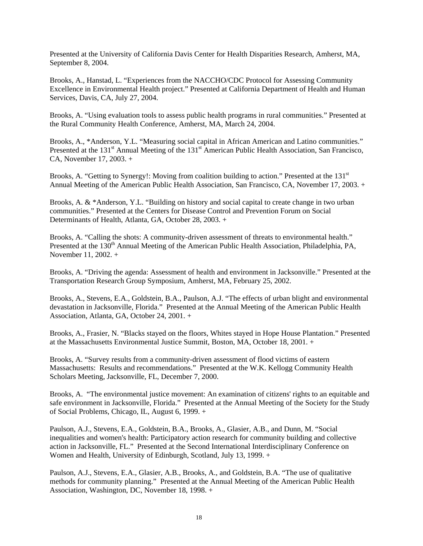Presented at the University of California Davis Center for Health Disparities Research, Amherst, MA, September 8, 2004.

Brooks, A., Hanstad, L. "Experiences from the NACCHO/CDC Protocol for Assessing Community Excellence in Environmental Health project." Presented at California Department of Health and Human Services, Davis, CA, July 27, 2004.

Brooks, A. "Using evaluation tools to assess public health programs in rural communities." Presented at the Rural Community Health Conference, Amherst, MA, March 24, 2004.

Brooks, A., \*Anderson, Y.L. "Measuring social capital in African American and Latino communities." Presented at the 131<sup>st</sup> Annual Meeting of the 131<sup>st</sup> American Public Health Association, San Francisco, CA, November 17, 2003. +

Brooks, A. "Getting to Synergy!: Moving from coalition building to action." Presented at the  $131<sup>st</sup>$ Annual Meeting of the American Public Health Association, San Francisco, CA, November 17, 2003. +

Brooks, A. & \*Anderson, Y.L. "Building on history and social capital to create change in two urban communities." Presented at the Centers for Disease Control and Prevention Forum on Social Determinants of Health, Atlanta, GA, October 28, 2003. +

Brooks, A. "Calling the shots: A community-driven assessment of threats to environmental health." Presented at the 130<sup>th</sup> Annual Meeting of the American Public Health Association, Philadelphia, PA, November 11, 2002. +

Brooks, A. "Driving the agenda: Assessment of health and environment in Jacksonville." Presented at the Transportation Research Group Symposium, Amherst, MA, February 25, 2002.

Brooks, A., Stevens, E.A., Goldstein, B.A., Paulson, A.J. "The effects of urban blight and environmental devastation in Jacksonville, Florida." Presented at the Annual Meeting of the American Public Health Association, Atlanta, GA, October 24, 2001. +

Brooks, A., Frasier, N. "Blacks stayed on the floors, Whites stayed in Hope House Plantation." Presented at the Massachusetts Environmental Justice Summit, Boston, MA, October 18, 2001. +

Brooks, A. "Survey results from a community-driven assessment of flood victims of eastern Massachusetts: Results and recommendations." Presented at the W.K. Kellogg Community Health Scholars Meeting, Jacksonville, FL, December 7, 2000.

Brooks, A. "The environmental justice movement: An examination of citizens' rights to an equitable and safe environment in Jacksonville, Florida." Presented at the Annual Meeting of the Society for the Study of Social Problems, Chicago, IL, August 6, 1999. +

Paulson, A.J., Stevens, E.A., Goldstein, B.A., Brooks, A., Glasier, A.B., and Dunn, M. "Social inequalities and women's health: Participatory action research for community building and collective action in Jacksonville, FL." Presented at the Second International Interdisciplinary Conference on Women and Health, University of Edinburgh, Scotland, July 13, 1999. +

Paulson, A.J., Stevens, E.A., Glasier, A.B., Brooks, A., and Goldstein, B.A. "The use of qualitative methods for community planning." Presented at the Annual Meeting of the American Public Health Association, Washington, DC, November 18, 1998. +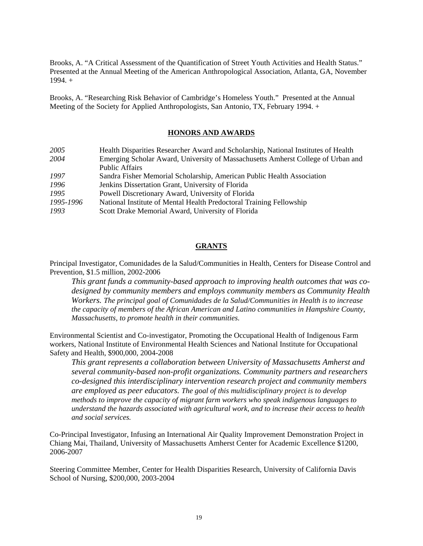Brooks, A. "A Critical Assessment of the Quantification of Street Youth Activities and Health Status." Presented at the Annual Meeting of the American Anthropological Association, Atlanta, GA, November  $1994.+$ 

Brooks, A. "Researching Risk Behavior of Cambridge's Homeless Youth." Presented at the Annual Meeting of the Society for Applied Anthropologists, San Antonio, TX, February 1994. +

## **HONORS AND AWARDS**

| 2005      | Health Disparities Researcher Award and Scholarship, National Institutes of Health |
|-----------|------------------------------------------------------------------------------------|
| 2004      | Emerging Scholar Award, University of Massachusetts Amherst College of Urban and   |
|           | <b>Public Affairs</b>                                                              |
| 1997      | Sandra Fisher Memorial Scholarship, American Public Health Association             |
| 1996      | Jenkins Dissertation Grant, University of Florida                                  |
| 1995      | Powell Discretionary Award, University of Florida                                  |
| 1995-1996 | National Institute of Mental Health Predoctoral Training Fellowship                |
| 1993      | Scott Drake Memorial Award, University of Florida                                  |

## **GRANTS**

Principal Investigator, Comunidades de la Salud/Communities in Health, Centers for Disease Control and Prevention, \$1.5 million, 2002-2006

*This grant funds a community-based approach to improving health outcomes that was codesigned by community members and employs community members as Community Health Workers. The principal goal of Comunidades de la Salud/Communities in Health is to increase the capacity of members of the African American and Latino communities in Hampshire County, Massachusetts, to promote health in their communities.*

Environmental Scientist and Co-investigator, Promoting the Occupational Health of Indigenous Farm workers, National Institute of Environmental Health Sciences and National Institute for Occupational Safety and Health, \$900,000, 2004-2008

*This grant represents a collaboration between University of Massachusetts Amherst and several community-based non-profit organizations. Community partners and researchers co-designed this interdisciplinary intervention research project and community members are employed as peer educators. The goal of this multidisciplinary project is to develop methods to improve the capacity of migrant farm workers who speak indigenous languages to understand the hazards associated with agricultural work, and to increase their access to health and social services.*

Co-Principal Investigator, Infusing an International Air Quality Improvement Demonstration Project in Chiang Mai, Thailand, University of Massachusetts Amherst Center for Academic Excellence \$1200, 2006-2007

Steering Committee Member, Center for Health Disparities Research, University of California Davis School of Nursing, \$200,000, 2003-2004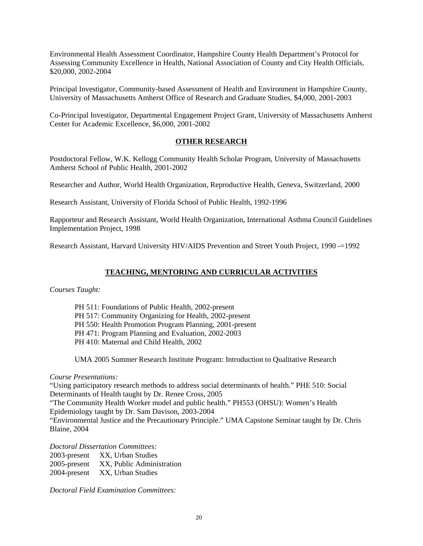Environmental Health Assessment Coordinator, Hampshire County Health Department's Protocol for Assessing Community Excellence in Health, National Association of County and City Health Officials, \$20,000, 2002-2004

Principal Investigator, Community-based Assessment of Health and Environment in Hampshire County, University of Massachusetts Amherst Office of Research and Graduate Studies, \$4,000, 2001-2003

Co-Principal Investigator, Departmental Engagement Project Grant, University of Massachusetts Amherst Center for Academic Excellence, \$6,000, 2001-2002

## **OTHER RESEARCH**

Postdoctoral Fellow, W.K. Kellogg Community Health Scholar Program, University of Massachusetts Amherst School of Public Health, 2001-2002

Researcher and Author, World Health Organization, Reproductive Health, Geneva, Switzerland, 2000

Research Assistant, University of Florida School of Public Health, 1992-1996

Rapporteur and Research Assistant, World Health Organization, International Asthma Council Guidelines Implementation Project, 1998

Research Assistant, Harvard University HIV/AIDS Prevention and Street Youth Project, 1990 -=1992

## **TEACHING, MENTORING AND CURRICULAR ACTIVITIES**

*Courses Taught:* 

PH 511: Foundations of Public Health, 2002-present PH 517: Community Organizing for Health, 2002-present PH 550: Health Promotion Program Planning, 2001-present PH 471: Program Planning and Evaluation, 2002-2003 PH 410: Maternal and Child Health, 2002

UMA 2005 Summer Research Institute Program: Introduction to Qualitative Research

## *Course Presentations:*

"Using participatory research methods to address social determinants of health." PHE 510: Social Determinants of Health taught by Dr. Renee Cross, 2005 "The Community Health Worker model and public health." PH553 (OHSU): Women's Health Epidemiology taught by Dr. Sam Davison, 2003-2004

"Environmental Justice and the Precautionary Principle." UMA Capstone Seminar taught by Dr. Chris Blaine, 2004

*Doctoral Dissertation Committees:* 

| 2003-present    | XX, Urban Studies         |
|-----------------|---------------------------|
| $2005$ -present | XX, Public Administration |
| 2004-present    | XX, Urban Studies         |

*Doctoral Field Examination Committees:*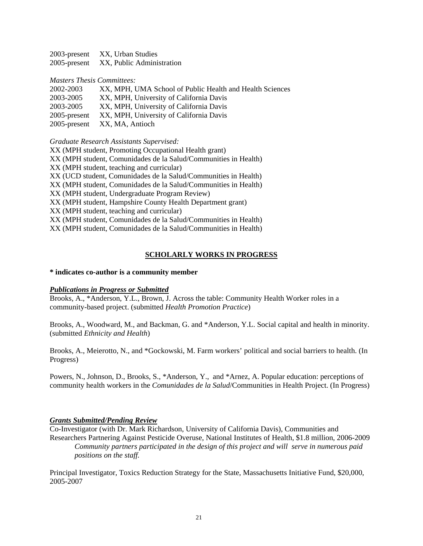| 2003-present | XX, Urban Studies         |
|--------------|---------------------------|
| 2005-present | XX, Public Administration |

#### *Masters Thesis Committees:*

| 2002-2003       | XX, MPH, UMA School of Public Health and Health Sciences |
|-----------------|----------------------------------------------------------|
| 2003-2005       | XX, MPH, University of California Davis                  |
| 2003-2005       | XX, MPH, University of California Davis                  |
| $2005$ -present | XX, MPH, University of California Davis                  |
|                 | 2005-present XX, MA, Antioch                             |

*Graduate Research Assistants Supervised:* 

XX (MPH student, Promoting Occupational Health grant)

XX (MPH student, Comunidades de la Salud/Communities in Health)

XX (MPH student, teaching and curricular)

XX (UCD student, Comunidades de la Salud/Communities in Health)

XX (MPH student, Comunidades de la Salud/Communities in Health)

- XX (MPH student, Undergraduate Program Review)
- XX (MPH student, Hampshire County Health Department grant)
- XX (MPH student, teaching and curricular)

XX (MPH student, Comunidades de la Salud/Communities in Health)

XX (MPH student, Comunidades de la Salud/Communities in Health)

## **SCHOLARLY WORKS IN PROGRESS**

#### **\* indicates co-author is a community member**

#### *Publications in Progress or Submitted*

Brooks, A., \*Anderson, Y.L., Brown, J. Across the table: Community Health Worker roles in a community-based project. (submitted *Health Promotion Practice*)

Brooks, A., Woodward, M., and Backman, G. and \*Anderson, Y.L. Social capital and health in minority. (submitted *Ethnicity and Health*)

Brooks, A., Meierotto, N., and \*Gockowski, M. Farm workers' political and social barriers to health. (In Progress)

Powers, N., Johnson, D., Brooks, S., \*Anderson, Y., and \*Arnez, A. Popular education: perceptions of community health workers in the *Comunidades de la Salud*/Communities in Health Project. (In Progress)

## *Grants Submitted/Pending Review*

Co-Investigator (with Dr. Mark Richardson, University of California Davis), Communities and Researchers Partnering Against Pesticide Overuse, National Institutes of Health, \$1.8 million, 2006-2009 *Community partners participated in the design of this project and will serve in numerous paid positions on the staff.* 

Principal Investigator, Toxics Reduction Strategy for the State, Massachusetts Initiative Fund, \$20,000, 2005-2007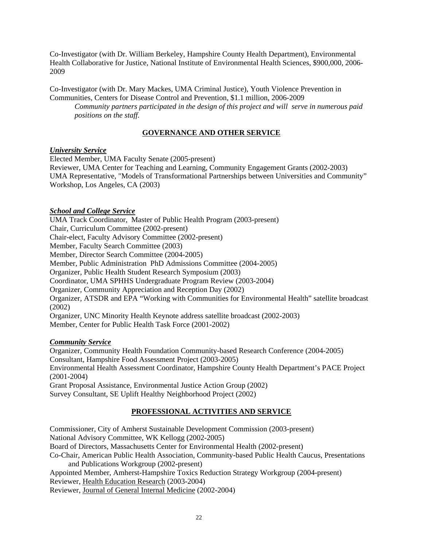Co-Investigator (with Dr. William Berkeley, Hampshire County Health Department), Environmental Health Collaborative for Justice, National Institute of Environmental Health Sciences, \$900,000, 2006- 2009

Co-Investigator (with Dr. Mary Mackes, UMA Criminal Justice), Youth Violence Prevention in Communities, Centers for Disease Control and Prevention, \$1.1 million, 2006-2009

*Community partners participated in the design of this project and will serve in numerous paid positions on the staff.* 

## **GOVERNANCE AND OTHER SERVICE**

## *University Service*

Elected Member, UMA Faculty Senate (2005-present) Reviewer, UMA Center for Teaching and Learning, Community Engagement Grants (2002-2003) UMA Representative, "Models of Transformational Partnerships between Universities and Community" Workshop, Los Angeles, CA (2003)

## *School and College Service*

UMA Track Coordinator, Master of Public Health Program (2003-present) Chair, Curriculum Committee (2002-present) Chair-elect, Faculty Advisory Committee (2002-present) Member, Faculty Search Committee (2003) Member, Director Search Committee (2004-2005) Member, Public Administration PhD Admissions Committee (2004-2005) Organizer, Public Health Student Research Symposium (2003) Coordinator, UMA SPHHS Undergraduate Program Review (2003-2004) Organizer, Community Appreciation and Reception Day (2002) Organizer, ATSDR and EPA "Working with Communities for Environmental Health" satellite broadcast (2002) Organizer, UNC Minority Health Keynote address satellite broadcast (2002-2003) Member, Center for Public Health Task Force (2001-2002)

## *Community Service*

Organizer, Community Health Foundation Community-based Research Conference (2004-2005) Consultant, Hampshire Food Assessment Project (2003-2005) Environmental Health Assessment Coordinator, Hampshire County Health Department's PACE Project (2001-2004) Grant Proposal Assistance, Environmental Justice Action Group (2002) Survey Consultant, SE Uplift Healthy Neighborhood Project (2002)

# **PROFESSIONAL ACTIVITIES AND SERVICE**

Commissioner, City of Amherst Sustainable Development Commission (2003-present) National Advisory Committee, WK Kellogg (2002-2005) Board of Directors, Massachusetts Center for Environmental Health (2002-present) Co-Chair, American Public Health Association, Community-based Public Health Caucus, Presentations and Publications Workgroup (2002-present) Appointed Member, Amherst-Hampshire Toxics Reduction Strategy Workgroup (2004-present) Reviewer, Health Education Research (2003-2004) Reviewer, Journal of General Internal Medicine (2002-2004)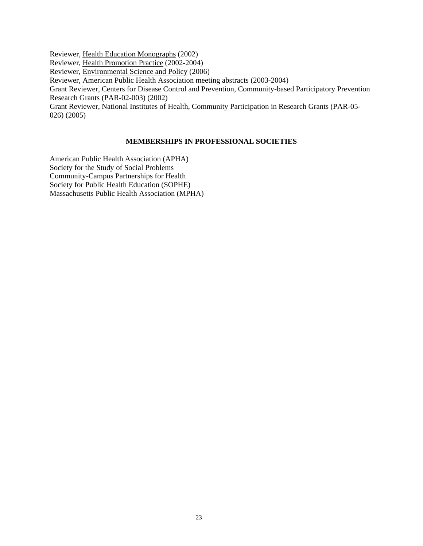Reviewer, Health Education Monographs (2002)

Reviewer, Health Promotion Practice (2002-2004)

Reviewer, Environmental Science and Policy (2006)

Reviewer, American Public Health Association meeting abstracts (2003-2004)

Grant Reviewer, Centers for Disease Control and Prevention, Community-based Participatory Prevention Research Grants (PAR-02-003) (2002)

Grant Reviewer, National Institutes of Health, Community Participation in Research Grants (PAR-05- 026) (2005)

## **MEMBERSHIPS IN PROFESSIONAL SOCIETIES**

American Public Health Association (APHA) Society for the Study of Social Problems Community-Campus Partnerships for Health Society for Public Health Education (SOPHE) Massachusetts Public Health Association (MPHA)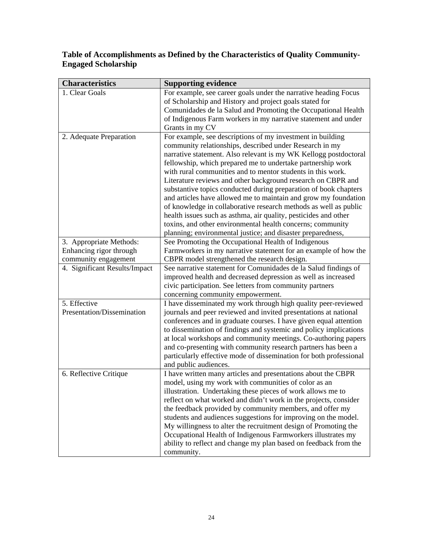# **Table of Accomplishments as Defined by the Characteristics of Quality Community-Engaged Scholarship**

| <b>Characteristics</b>        | <b>Supporting evidence</b>                                                                                                      |  |
|-------------------------------|---------------------------------------------------------------------------------------------------------------------------------|--|
| 1. Clear Goals                | For example, see career goals under the narrative heading Focus                                                                 |  |
|                               | of Scholarship and History and project goals stated for                                                                         |  |
|                               | Comunidades de la Salud and Promoting the Occupational Health                                                                   |  |
|                               | of Indigenous Farm workers in my narrative statement and under                                                                  |  |
|                               | Grants in my CV                                                                                                                 |  |
| 2. Adequate Preparation       | For example, see descriptions of my investment in building                                                                      |  |
|                               | community relationships, described under Research in my                                                                         |  |
|                               | narrative statement. Also relevant is my WK Kellogg postdoctoral                                                                |  |
|                               | fellowship, which prepared me to undertake partnership work                                                                     |  |
|                               | with rural communities and to mentor students in this work.                                                                     |  |
|                               | Literature reviews and other background research on CBPR and                                                                    |  |
|                               | substantive topics conducted during preparation of book chapters                                                                |  |
|                               | and articles have allowed me to maintain and grow my foundation                                                                 |  |
|                               | of knowledge in collaborative research methods as well as public                                                                |  |
|                               | health issues such as asthma, air quality, pesticides and other                                                                 |  |
|                               | toxins, and other environmental health concerns; community                                                                      |  |
|                               | planning; environmental justice; and disaster preparedness,                                                                     |  |
| 3. Appropriate Methods:       | See Promoting the Occupational Health of Indigenous                                                                             |  |
| Enhancing rigor through       | Farmworkers in my narrative statement for an example of how the                                                                 |  |
| community engagement          | CBPR model strengthened the research design.                                                                                    |  |
| 4. Significant Results/Impact | See narrative statement for Comunidades de la Salud findings of                                                                 |  |
|                               | improved health and decreased depression as well as increased                                                                   |  |
|                               | civic participation. See letters from community partners                                                                        |  |
|                               | concerning community empowerment.                                                                                               |  |
| 5. Effective                  | I have disseminated my work through high quality peer-reviewed                                                                  |  |
| Presentation/Dissemination    | journals and peer reviewed and invited presentations at national                                                                |  |
|                               | conferences and in graduate courses. I have given equal attention                                                               |  |
|                               | to dissemination of findings and systemic and policy implications                                                               |  |
|                               | at local workshops and community meetings. Co-authoring papers<br>and co-presenting with community research partners has been a |  |
|                               | particularly effective mode of dissemination for both professional                                                              |  |
|                               | and public audiences.                                                                                                           |  |
| 6. Reflective Critique        | I have written many articles and presentations about the CBPR                                                                   |  |
|                               | model, using my work with communities of color as an                                                                            |  |
|                               | illustration. Undertaking these pieces of work allows me to                                                                     |  |
|                               | reflect on what worked and didn't work in the projects, consider                                                                |  |
|                               | the feedback provided by community members, and offer my                                                                        |  |
|                               | students and audiences suggestions for improving on the model.                                                                  |  |
|                               | My willingness to alter the recruitment design of Promoting the                                                                 |  |
|                               | Occupational Health of Indigenous Farmworkers illustrates my                                                                    |  |
|                               | ability to reflect and change my plan based on feedback from the                                                                |  |
|                               | community.                                                                                                                      |  |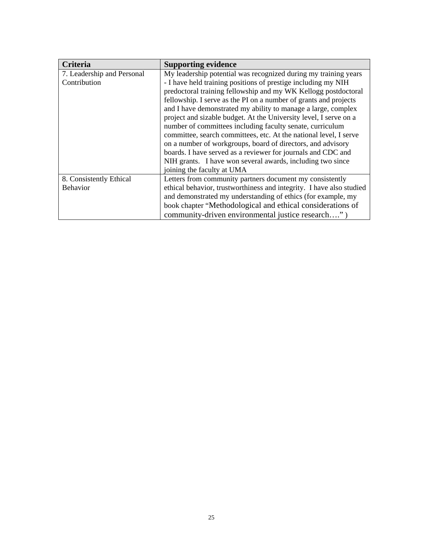| <b>Criteria</b>            | <b>Supporting evidence</b>                                           |
|----------------------------|----------------------------------------------------------------------|
| 7. Leadership and Personal | My leadership potential was recognized during my training years      |
| Contribution               | - I have held training positions of prestige including my NIH        |
|                            | predoctoral training fellowship and my WK Kellogg postdoctoral       |
|                            | fellowship. I serve as the PI on a number of grants and projects     |
|                            | and I have demonstrated my ability to manage a large, complex        |
|                            | project and sizable budget. At the University level, I serve on a    |
|                            | number of committees including faculty senate, curriculum            |
|                            | committee, search committees, etc. At the national level, I serve    |
|                            | on a number of workgroups, board of directors, and advisory          |
|                            | boards. I have served as a reviewer for journals and CDC and         |
|                            | NIH grants. I have won several awards, including two since           |
|                            | joining the faculty at UMA                                           |
| 8. Consistently Ethical    | Letters from community partners document my consistently             |
| <b>Behavior</b>            | ethical behavior, trustworthiness and integrity. I have also studied |
|                            | and demonstrated my understanding of ethics (for example, my         |
|                            | book chapter "Methodological and ethical considerations of           |
|                            | community-driven environmental justice research")                    |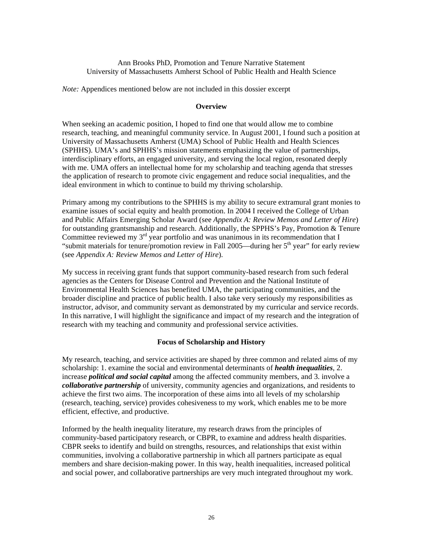## Ann Brooks PhD, Promotion and Tenure Narrative Statement University of Massachusetts Amherst School of Public Health and Health Science

*Note:* Appendices mentioned below are not included in this dossier excerpt

## **Overview**

When seeking an academic position, I hoped to find one that would allow me to combine research, teaching, and meaningful community service. In August 2001, I found such a position at University of Massachusetts Amherst (UMA) School of Public Health and Health Sciences (SPHHS). UMA's and SPHHS's mission statements emphasizing the value of partnerships, interdisciplinary efforts, an engaged university, and serving the local region, resonated deeply with me. UMA offers an intellectual home for my scholarship and teaching agenda that stresses the application of research to promote civic engagement and reduce social inequalities, and the ideal environment in which to continue to build my thriving scholarship.

Primary among my contributions to the SPHHS is my ability to secure extramural grant monies to examine issues of social equity and health promotion. In 2004 I received the College of Urban and Public Affairs Emerging Scholar Award (see *Appendix A: Review Memos and Letter of Hire*) for outstanding grantsmanship and research. Additionally, the SPPHS's Pay, Promotion & Tenure Committee reviewed my  $3<sup>rd</sup>$  year portfolio and was unanimous in its recommendation that I "submit materials for tenure/promotion review in Fall 2005—during her  $5<sup>th</sup>$  year" for early review (see *Appendix A: Review Memos and Letter of Hire*).

My success in receiving grant funds that support community-based research from such federal agencies as the Centers for Disease Control and Prevention and the National Institute of Environmental Health Sciences has benefited UMA, the participating communities, and the broader discipline and practice of public health. I also take very seriously my responsibilities as instructor, advisor, and community servant as demonstrated by my curricular and service records. In this narrative, I will highlight the significance and impact of my research and the integration of research with my teaching and community and professional service activities.

## **Focus of Scholarship and History**

My research, teaching, and service activities are shaped by three common and related aims of my scholarship: 1. examine the social and environmental determinants of *health inequalities*, 2. increase *political and social capital* among the affected community members, and 3. involve a *collaborative partnership* of university, community agencies and organizations, and residents to achieve the first two aims. The incorporation of these aims into all levels of my scholarship (research, teaching, service) provides cohesiveness to my work, which enables me to be more efficient, effective, and productive.

Informed by the health inequality literature, my research draws from the principles of community-based participatory research, or CBPR, to examine and address health disparities. CBPR seeks to identify and build on strengths, resources, and relationships that exist within communities, involving a collaborative partnership in which all partners participate as equal members and share decision-making power. In this way, health inequalities, increased political and social power, and collaborative partnerships are very much integrated throughout my work.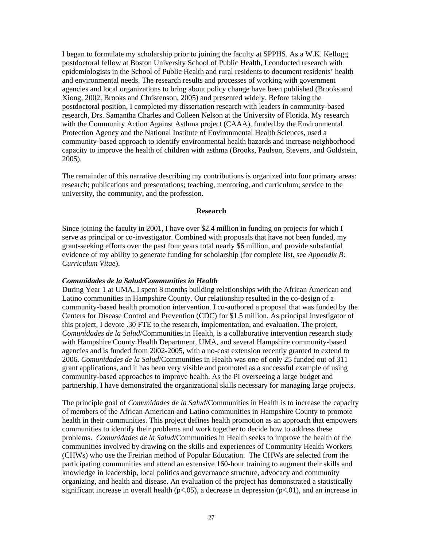I began to formulate my scholarship prior to joining the faculty at SPPHS. As a W.K. Kellogg postdoctoral fellow at Boston University School of Public Health, I conducted research with epidemiologists in the School of Public Health and rural residents to document residents' health and environmental needs. The research results and processes of working with government agencies and local organizations to bring about policy change have been published (Brooks and Xiong, 2002, Brooks and Christenson, 2005) and presented widely. Before taking the postdoctoral position, I completed my dissertation research with leaders in community-based research, Drs. Samantha Charles and Colleen Nelson at the University of Florida. My research with the Community Action Against Asthma project (CAAA), funded by the Environmental Protection Agency and the National Institute of Environmental Health Sciences, used a community-based approach to identify environmental health hazards and increase neighborhood capacity to improve the health of children with asthma (Brooks, Paulson, Stevens, and Goldstein, 2005).

The remainder of this narrative describing my contributions is organized into four primary areas: research; publications and presentations; teaching, mentoring, and curriculum; service to the university, the community, and the profession.

#### **Research**

Since joining the faculty in 2001, I have over \$2.4 million in funding on projects for which I serve as principal or co-investigator. Combined with proposals that have not been funded, my grant-seeking efforts over the past four years total nearly \$6 million, and provide substantial evidence of my ability to generate funding for scholarship (for complete list, see *Appendix B: Curriculum Vitae*).

#### *Comunidades de la Salud/Communities in Health*

During Year 1 at UMA, I spent 8 months building relationships with the African American and Latino communities in Hampshire County. Our relationship resulted in the co-design of a community-based health promotion intervention. I co-authored a proposal that was funded by the Centers for Disease Control and Prevention (CDC) for \$1.5 million. As principal investigator of this project, I devote .30 FTE to the research, implementation, and evaluation. The project, *Comunidades de la Salud*/Communities in Health, is a collaborative intervention research study with Hampshire County Health Department, UMA, and several Hampshire community-based agencies and is funded from 2002-2005, with a no-cost extension recently granted to extend to 2006. *Comunidades de la Salud*/Communities in Health was one of only 25 funded out of 311 grant applications, and it has been very visible and promoted as a successful example of using community-based approaches to improve health. As the PI overseeing a large budget and partnership, I have demonstrated the organizational skills necessary for managing large projects.

The principle goal of *Comunidades de la Salud*/Communities in Health is to increase the capacity of members of the African American and Latino communities in Hampshire County to promote health in their communities. This project defines health promotion as an approach that empowers communities to identify their problems and work together to decide how to address these problems. *Comunidades de la Salud*/Communities in Health seeks to improve the health of the communities involved by drawing on the skills and experiences of Community Health Workers (CHWs) who use the Freirian method of Popular Education. The CHWs are selected from the participating communities and attend an extensive 160-hour training to augment their skills and knowledge in leadership, local politics and governance structure, advocacy and community organizing, and health and disease. An evaluation of the project has demonstrated a statistically significant increase in overall health ( $p<0.05$ ), a decrease in depression ( $p<0.01$ ), and an increase in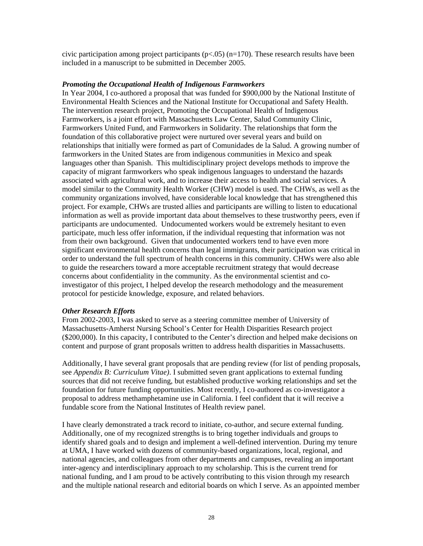civic participation among project participants ( $p < .05$ ) ( $n=170$ ). These research results have been included in a manuscript to be submitted in December 2005.

## *Promoting the Occupational Health of Indigenous Farmworkers*

In Year 2004, I co-authored a proposal that was funded for \$900,000 by the National Institute of Environmental Health Sciences and the National Institute for Occupational and Safety Health. The intervention research project, Promoting the Occupational Health of Indigenous Farmworkers, is a joint effort with Massachusetts Law Center, Salud Community Clinic, Farmworkers United Fund, and Farmworkers in Solidarity. The relationships that form the foundation of this collaborative project were nurtured over several years and build on relationships that initially were formed as part of Comunidades de la Salud. A growing number of farmworkers in the United States are from indigenous communities in Mexico and speak languages other than Spanish. This multidisciplinary project develops methods to improve the capacity of migrant farmworkers who speak indigenous languages to understand the hazards associated with agricultural work, and to increase their access to health and social services. A model similar to the Community Health Worker (CHW) model is used. The CHWs, as well as the community organizations involved, have considerable local knowledge that has strengthened this project. For example, CHWs are trusted allies and participants are willing to listen to educational information as well as provide important data about themselves to these trustworthy peers, even if participants are undocumented. Undocumented workers would be extremely hesitant to even participate, much less offer information, if the individual requesting that information was not from their own background. Given that undocumented workers tend to have even more significant environmental health concerns than legal immigrants, their participation was critical in order to understand the full spectrum of health concerns in this community. CHWs were also able to guide the researchers toward a more acceptable recruitment strategy that would decrease concerns about confidentiality in the community. As the environmental scientist and coinvestigator of this project, I helped develop the research methodology and the measurement protocol for pesticide knowledge, exposure, and related behaviors.

#### *Other Research Efforts*

From 2002-2003, I was asked to serve as a steering committee member of University of Massachusetts-Amherst Nursing School's Center for Health Disparities Research project (\$200,000). In this capacity, I contributed to the Center's direction and helped make decisions on content and purpose of grant proposals written to address health disparities in Massachusetts.

Additionally, I have several grant proposals that are pending review (for list of pending proposals, see *Appendix B: Curriculum Vitae)*. I submitted seven grant applications to external funding sources that did not receive funding, but established productive working relationships and set the foundation for future funding opportunities. Most recently, I co-authored as co-investigator a proposal to address methamphetamine use in California. I feel confident that it will receive a fundable score from the National Institutes of Health review panel.

I have clearly demonstrated a track record to initiate, co-author, and secure external funding. Additionally, one of my recognized strengths is to bring together individuals and groups to identify shared goals and to design and implement a well-defined intervention. During my tenure at UMA, I have worked with dozens of community-based organizations, local, regional, and national agencies, and colleagues from other departments and campuses, revealing an important inter-agency and interdisciplinary approach to my scholarship. This is the current trend for national funding, and I am proud to be actively contributing to this vision through my research and the multiple national research and editorial boards on which I serve. As an appointed member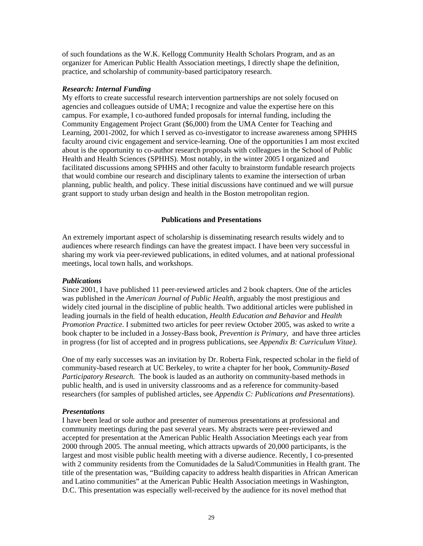of such foundations as the W.K. Kellogg Community Health Scholars Program, and as an organizer for American Public Health Association meetings, I directly shape the definition, practice, and scholarship of community-based participatory research.

## *Research: Internal Funding*

My efforts to create successful research intervention partnerships are not solely focused on agencies and colleagues outside of UMA; I recognize and value the expertise here on this campus. For example, I co-authored funded proposals for internal funding, including the Community Engagement Project Grant (\$6,000) from the UMA Center for Teaching and Learning, 2001-2002, for which I served as co-investigator to increase awareness among SPHHS faculty around civic engagement and service-learning. One of the opportunities I am most excited about is the opportunity to co-author research proposals with colleagues in the School of Public Health and Health Sciences (SPHHS). Most notably, in the winter 2005 I organized and facilitated discussions among SPHHS and other faculty to brainstorm fundable research projects that would combine our research and disciplinary talents to examine the intersection of urban planning, public health, and policy. These initial discussions have continued and we will pursue grant support to study urban design and health in the Boston metropolitan region.

## **Publications and Presentations**

An extremely important aspect of scholarship is disseminating research results widely and to audiences where research findings can have the greatest impact. I have been very successful in sharing my work via peer-reviewed publications, in edited volumes, and at national professional meetings, local town halls, and workshops.

## *Publications*

Since 2001, I have published 11 peer-reviewed articles and 2 book chapters. One of the articles was published in the *American Journal of Public Health*, arguably the most prestigious and widely cited journal in the discipline of public health. Two additional articles were published in leading journals in the field of health education, *Health Education and Behavior* and *Health Promotion Practice*. I submitted two articles for peer review October 2005, was asked to write a book chapter to be included in a Jossey-Bass book, *Prevention is Primary*, and have three articles in progress (for list of accepted and in progress publications, see *Appendix B: Curriculum Vitae)*.

One of my early successes was an invitation by Dr. Roberta Fink, respected scholar in the field of community-based research at UC Berkeley, to write a chapter for her book, *Community-Based Participatory Research.* The book is lauded as an authority on community-based methods in public health, and is used in university classrooms and as a reference for community-based researchers (for samples of published articles, see *Appendix C: Publications and Presentations*).

#### *Presentations*

I have been lead or sole author and presenter of numerous presentations at professional and community meetings during the past several years. My abstracts were peer-reviewed and accepted for presentation at the American Public Health Association Meetings each year from 2000 through 2005. The annual meeting, which attracts upwards of 20,000 participants, is the largest and most visible public health meeting with a diverse audience. Recently, I co-presented with 2 community residents from the Comunidades de la Salud/Communities in Health grant. The title of the presentation was, "Building capacity to address health disparities in African American and Latino communities" at the American Public Health Association meetings in Washington, D.C. This presentation was especially well-received by the audience for its novel method that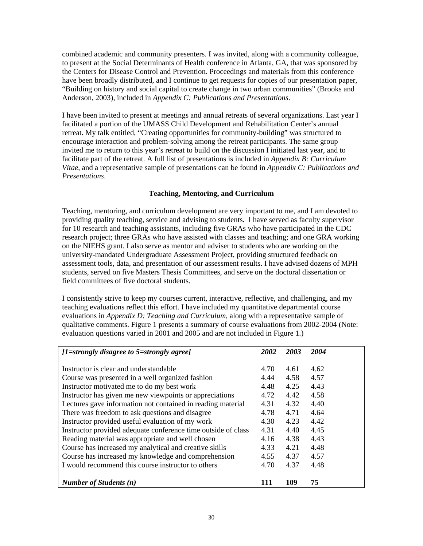combined academic and community presenters. I was invited, along with a community colleague, to present at the Social Determinants of Health conference in Atlanta, GA, that was sponsored by the Centers for Disease Control and Prevention. Proceedings and materials from this conference have been broadly distributed, and I continue to get requests for copies of our presentation paper, "Building on history and social capital to create change in two urban communities" (Brooks and Anderson, 2003), included in *Appendix C: Publications and Presentations*.

I have been invited to present at meetings and annual retreats of several organizations. Last year I facilitated a portion of the UMASS Child Development and Rehabilitation Center's annual retreat. My talk entitled, "Creating opportunities for community-building" was structured to encourage interaction and problem-solving among the retreat participants. The same group invited me to return to this year's retreat to build on the discussion I initiated last year, and to facilitate part of the retreat. A full list of presentations is included in *Appendix B: Curriculum Vitae*, and a representative sample of presentations can be found in *Appendix C: Publications and Presentations*.

## **Teaching, Mentoring, and Curriculum**

Teaching, mentoring, and curriculum development are very important to me, and I am devoted to providing quality teaching, service and advising to students. I have served as faculty supervisor for 10 research and teaching assistants, including five GRAs who have participated in the CDC research project; three GRAs who have assisted with classes and teaching; and one GRA working on the NIEHS grant. I also serve as mentor and adviser to students who are working on the university-mandated Undergraduate Assessment Project, providing structured feedback on assessment tools, data, and presentation of our assessment results. I have advised dozens of MPH students, served on five Masters Thesis Committees, and serve on the doctoral dissertation or field committees of five doctoral students.

I consistently strive to keep my courses current, interactive, reflective, and challenging, and my teaching evaluations reflect this effort. I have included my quantitative departmental course evaluations in *Appendix D: Teaching and Curriculum*, along with a representative sample of qualitative comments. Figure 1 presents a summary of course evaluations from 2002-2004 (Note: evaluation questions varied in 2001 and 2005 and are not included in Figure 1.)

| $[1=strongly disagree to 5=strongly agree]$                   | 2002 | 2003 | 2004 |
|---------------------------------------------------------------|------|------|------|
|                                                               |      |      |      |
| Instructor is clear and understandable                        | 4.70 | 4.61 | 4.62 |
| Course was presented in a well organized fashion              | 4.44 | 4.58 | 4.57 |
| Instructor motivated me to do my best work                    | 4.48 | 4.25 | 4.43 |
| Instructor has given me new viewpoints or appreciations       | 4.72 | 4.42 | 4.58 |
| Lectures gave information not contained in reading material   | 4.31 | 4.32 | 4.40 |
| There was freedom to ask questions and disagree               | 4.78 | 4.71 | 4.64 |
| Instructor provided useful evaluation of my work              | 4.30 | 4.23 | 4.42 |
| Instructor provided adequate conference time outside of class | 4.31 | 4.40 | 4.45 |
| Reading material was appropriate and well chosen              | 4.16 | 4.38 | 4.43 |
| Course has increased my analytical and creative skills        | 4.33 | 4.21 | 4.48 |
| Course has increased my knowledge and comprehension           | 4.55 | 4.37 | 4.57 |
| I would recommend this course instructor to others            | 4.70 | 4.37 | 4.48 |
|                                                               |      |      |      |
| <b>Number of Students (n)</b>                                 |      | 109  | 75   |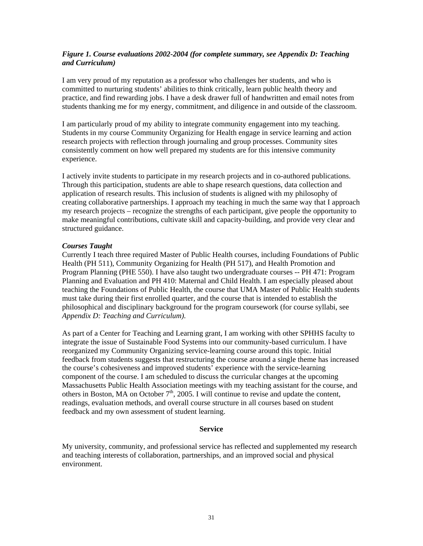## *Figure 1. Course evaluations 2002-2004 (for complete summary, see Appendix D: Teaching and Curriculum)*

I am very proud of my reputation as a professor who challenges her students, and who is committed to nurturing students' abilities to think critically, learn public health theory and practice, and find rewarding jobs. I have a desk drawer full of handwritten and email notes from students thanking me for my energy, commitment, and diligence in and outside of the classroom.

I am particularly proud of my ability to integrate community engagement into my teaching. Students in my course Community Organizing for Health engage in service learning and action research projects with reflection through journaling and group processes. Community sites consistently comment on how well prepared my students are for this intensive community experience.

I actively invite students to participate in my research projects and in co-authored publications. Through this participation, students are able to shape research questions, data collection and application of research results. This inclusion of students is aligned with my philosophy of creating collaborative partnerships. I approach my teaching in much the same way that I approach my research projects – recognize the strengths of each participant, give people the opportunity to make meaningful contributions, cultivate skill and capacity-building, and provide very clear and structured guidance.

## *Courses Taught*

Currently I teach three required Master of Public Health courses, including Foundations of Public Health (PH 511), Community Organizing for Health (PH 517), and Health Promotion and Program Planning (PHE 550). I have also taught two undergraduate courses -- PH 471: Program Planning and Evaluation and PH 410: Maternal and Child Health. I am especially pleased about teaching the Foundations of Public Health, the course that UMA Master of Public Health students must take during their first enrolled quarter, and the course that is intended to establish the philosophical and disciplinary background for the program coursework (for course syllabi, see *Appendix D: Teaching and Curriculum).*

As part of a Center for Teaching and Learning grant, I am working with other SPHHS faculty to integrate the issue of Sustainable Food Systems into our community-based curriculum. I have reorganized my Community Organizing service-learning course around this topic. Initial feedback from students suggests that restructuring the course around a single theme has increased the course's cohesiveness and improved students' experience with the service-learning component of the course. I am scheduled to discuss the curricular changes at the upcoming Massachusetts Public Health Association meetings with my teaching assistant for the course, and others in Boston, MA on October  $7<sup>th</sup>$ , 2005. I will continue to revise and update the content, readings, evaluation methods, and overall course structure in all courses based on student feedback and my own assessment of student learning.

#### **Service**

My university, community, and professional service has reflected and supplemented my research and teaching interests of collaboration, partnerships, and an improved social and physical environment.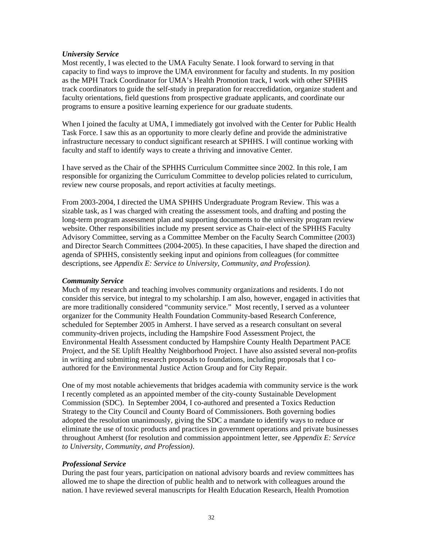## *University Service*

Most recently, I was elected to the UMA Faculty Senate. I look forward to serving in that capacity to find ways to improve the UMA environment for faculty and students. In my position as the MPH Track Coordinator for UMA's Health Promotion track, I work with other SPHHS track coordinators to guide the self-study in preparation for reaccredidation, organize student and faculty orientations, field questions from prospective graduate applicants, and coordinate our programs to ensure a positive learning experience for our graduate students.

When I joined the faculty at UMA, I immediately got involved with the Center for Public Health Task Force. I saw this as an opportunity to more clearly define and provide the administrative infrastructure necessary to conduct significant research at SPHHS. I will continue working with faculty and staff to identify ways to create a thriving and innovative Center.

I have served as the Chair of the SPHHS Curriculum Committee since 2002. In this role, I am responsible for organizing the Curriculum Committee to develop policies related to curriculum, review new course proposals, and report activities at faculty meetings.

From 2003-2004, I directed the UMA SPHHS Undergraduate Program Review. This was a sizable task, as I was charged with creating the assessment tools, and drafting and posting the long-term program assessment plan and supporting documents to the university program review website. Other responsibilities include my present service as Chair-elect of the SPHHS Faculty Advisory Committee, serving as a Committee Member on the Faculty Search Committee (2003) and Director Search Committees (2004-2005). In these capacities, I have shaped the direction and agenda of SPHHS, consistently seeking input and opinions from colleagues (for committee descriptions, see *Appendix E: Service to University, Community, and Profession).*

## *Community Service*

Much of my research and teaching involves community organizations and residents. I do not consider this service, but integral to my scholarship. I am also, however, engaged in activities that are more traditionally considered "community service." Most recently, I served as a volunteer organizer for the Community Health Foundation Community-based Research Conference, scheduled for September 2005 in Amherst. I have served as a research consultant on several community-driven projects, including the Hampshire Food Assessment Project, the Environmental Health Assessment conducted by Hampshire County Health Department PACE Project, and the SE Uplift Healthy Neighborhood Project. I have also assisted several non-profits in writing and submitting research proposals to foundations, including proposals that I coauthored for the Environmental Justice Action Group and for City Repair.

One of my most notable achievements that bridges academia with community service is the work I recently completed as an appointed member of the city-county Sustainable Development Commission (SDC). In September 2004, I co-authored and presented a Toxics Reduction Strategy to the City Council and County Board of Commissioners. Both governing bodies adopted the resolution unanimously, giving the SDC a mandate to identify ways to reduce or eliminate the use of toxic products and practices in government operations and private businesses throughout Amherst (for resolution and commission appointment letter, see *Appendix E: Service to University, Community, and Profession)*.

## *Professional Service*

During the past four years, participation on national advisory boards and review committees has allowed me to shape the direction of public health and to network with colleagues around the nation. I have reviewed several manuscripts for Health Education Research, Health Promotion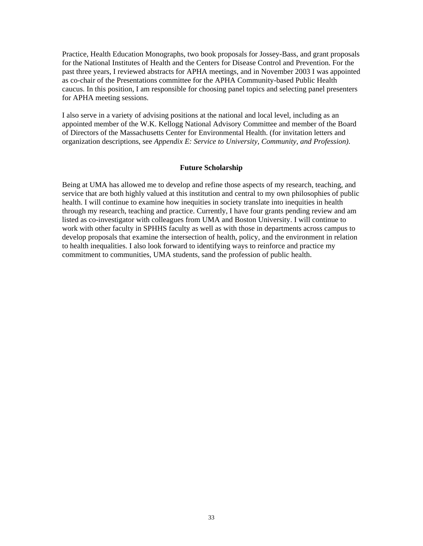Practice, Health Education Monographs, two book proposals for Jossey-Bass, and grant proposals for the National Institutes of Health and the Centers for Disease Control and Prevention. For the past three years, I reviewed abstracts for APHA meetings, and in November 2003 I was appointed as co-chair of the Presentations committee for the APHA Community-based Public Health caucus. In this position, I am responsible for choosing panel topics and selecting panel presenters for APHA meeting sessions.

I also serve in a variety of advising positions at the national and local level, including as an appointed member of the W.K. Kellogg National Advisory Committee and member of the Board of Directors of the Massachusetts Center for Environmental Health. (for invitation letters and organization descriptions, see *Appendix E: Service to University, Community, and Profession)*.

## **Future Scholarship**

Being at UMA has allowed me to develop and refine those aspects of my research, teaching, and service that are both highly valued at this institution and central to my own philosophies of public health. I will continue to examine how inequities in society translate into inequities in health through my research, teaching and practice. Currently, I have four grants pending review and am listed as co-investigator with colleagues from UMA and Boston University. I will continue to work with other faculty in SPHHS faculty as well as with those in departments across campus to develop proposals that examine the intersection of health, policy, and the environment in relation to health inequalities. I also look forward to identifying ways to reinforce and practice my commitment to communities, UMA students, sand the profession of public health.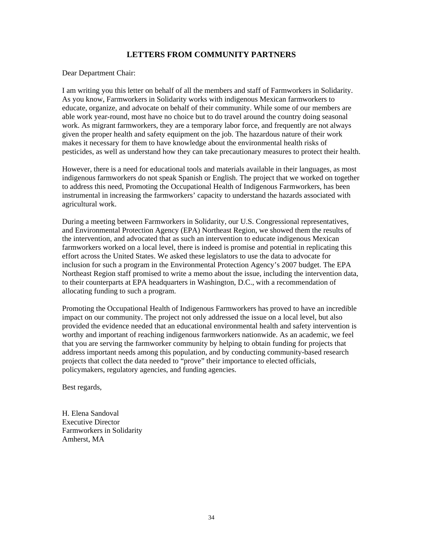## **LETTERS FROM COMMUNITY PARTNERS**

Dear Department Chair:

I am writing you this letter on behalf of all the members and staff of Farmworkers in Solidarity. As you know, Farmworkers in Solidarity works with indigenous Mexican farmworkers to educate, organize, and advocate on behalf of their community. While some of our members are able work year-round, most have no choice but to do travel around the country doing seasonal work. As migrant farmworkers, they are a temporary labor force, and frequently are not always given the proper health and safety equipment on the job. The hazardous nature of their work makes it necessary for them to have knowledge about the environmental health risks of pesticides, as well as understand how they can take precautionary measures to protect their health.

However, there is a need for educational tools and materials available in their languages, as most indigenous farmworkers do not speak Spanish or English. The project that we worked on together to address this need, Promoting the Occupational Health of Indigenous Farmworkers, has been instrumental in increasing the farmworkers' capacity to understand the hazards associated with agricultural work.

During a meeting between Farmworkers in Solidarity, our U.S. Congressional representatives, and Environmental Protection Agency (EPA) Northeast Region, we showed them the results of the intervention, and advocated that as such an intervention to educate indigenous Mexican farmworkers worked on a local level, there is indeed is promise and potential in replicating this effort across the United States. We asked these legislators to use the data to advocate for inclusion for such a program in the Environmental Protection Agency's 2007 budget. The EPA Northeast Region staff promised to write a memo about the issue, including the intervention data, to their counterparts at EPA headquarters in Washington, D.C., with a recommendation of allocating funding to such a program.

Promoting the Occupational Health of Indigenous Farmworkers has proved to have an incredible impact on our community. The project not only addressed the issue on a local level, but also provided the evidence needed that an educational environmental health and safety intervention is worthy and important of reaching indigenous farmworkers nationwide. As an academic, we feel that you are serving the farmworker community by helping to obtain funding for projects that address important needs among this population, and by conducting community-based research projects that collect the data needed to "prove" their importance to elected officials, policymakers, regulatory agencies, and funding agencies.

Best regards,

H. Elena Sandoval Executive Director Farmworkers in Solidarity Amherst, MA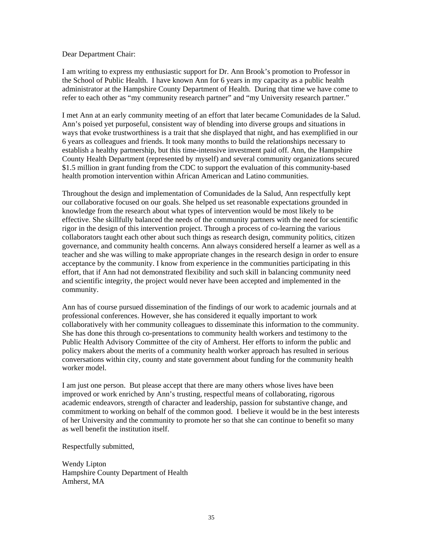## Dear Department Chair:

I am writing to express my enthusiastic support for Dr. Ann Brook's promotion to Professor in the School of Public Health. I have known Ann for 6 years in my capacity as a public health administrator at the Hampshire County Department of Health. During that time we have come to refer to each other as "my community research partner" and "my University research partner."

I met Ann at an early community meeting of an effort that later became Comunidades de la Salud. Ann's poised yet purposeful, consistent way of blending into diverse groups and situations in ways that evoke trustworthiness is a trait that she displayed that night, and has exemplified in our 6 years as colleagues and friends. It took many months to build the relationships necessary to establish a healthy partnership, but this time-intensive investment paid off. Ann, the Hampshire County Health Department (represented by myself) and several community organizations secured \$1.5 million in grant funding from the CDC to support the evaluation of this community-based health promotion intervention within African American and Latino communities.

Throughout the design and implementation of Comunidades de la Salud, Ann respectfully kept our collaborative focused on our goals. She helped us set reasonable expectations grounded in knowledge from the research about what types of intervention would be most likely to be effective. She skillfully balanced the needs of the community partners with the need for scientific rigor in the design of this intervention project. Through a process of co-learning the various collaborators taught each other about such things as research design, community politics, citizen governance, and community health concerns. Ann always considered herself a learner as well as a teacher and she was willing to make appropriate changes in the research design in order to ensure acceptance by the community. I know from experience in the communities participating in this effort, that if Ann had not demonstrated flexibility and such skill in balancing community need and scientific integrity, the project would never have been accepted and implemented in the community.

Ann has of course pursued dissemination of the findings of our work to academic journals and at professional conferences. However, she has considered it equally important to work collaboratively with her community colleagues to disseminate this information to the community. She has done this through co-presentations to community health workers and testimony to the Public Health Advisory Committee of the city of Amherst. Her efforts to inform the public and policy makers about the merits of a community health worker approach has resulted in serious conversations within city, county and state government about funding for the community health worker model.

I am just one person. But please accept that there are many others whose lives have been improved or work enriched by Ann's trusting, respectful means of collaborating, rigorous academic endeavors, strength of character and leadership, passion for substantive change, and commitment to working on behalf of the common good. I believe it would be in the best interests of her University and the community to promote her so that she can continue to benefit so many as well benefit the institution itself.

Respectfully submitted,

Wendy Lipton Hampshire County Department of Health Amherst, MA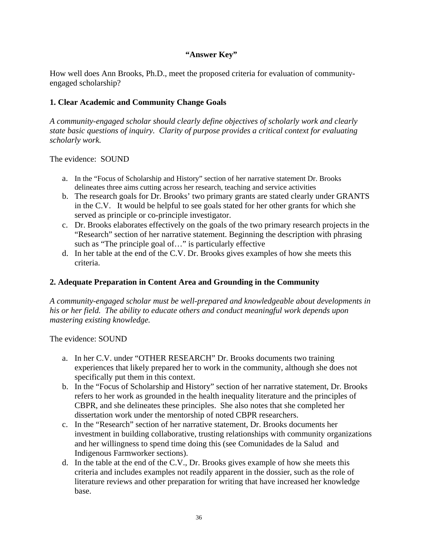# **"Answer Key"**

How well does Ann Brooks, Ph.D., meet the proposed criteria for evaluation of communityengaged scholarship?

# **1. Clear Academic and Community Change Goals**

*A community-engaged scholar should clearly define objectives of scholarly work and clearly state basic questions of inquiry. Clarity of purpose provides a critical context for evaluating scholarly work.* 

The evidence: SOUND

- a. In the "Focus of Scholarship and History" section of her narrative statement Dr. Brooks delineates three aims cutting across her research, teaching and service activities
- b. The research goals for Dr. Brooks' two primary grants are stated clearly under GRANTS in the C.V. It would be helpful to see goals stated for her other grants for which she served as principle or co-principle investigator.
- c. Dr. Brooks elaborates effectively on the goals of the two primary research projects in the "Research" section of her narrative statement. Beginning the description with phrasing such as "The principle goal of..." is particularly effective
- d. In her table at the end of the C.V. Dr. Brooks gives examples of how she meets this criteria.

## **2. Adequate Preparation in Content Area and Grounding in the Community**

*A community-engaged scholar must be well-prepared and knowledgeable about developments in his or her field. The ability to educate others and conduct meaningful work depends upon mastering existing knowledge.* 

The evidence: SOUND

- a. In her C.V. under "OTHER RESEARCH" Dr. Brooks documents two training experiences that likely prepared her to work in the community, although she does not specifically put them in this context.
- b. In the "Focus of Scholarship and History" section of her narrative statement, Dr. Brooks refers to her work as grounded in the health inequality literature and the principles of CBPR, and she delineates these principles. She also notes that she completed her dissertation work under the mentorship of noted CBPR researchers.
- c. In the "Research" section of her narrative statement, Dr. Brooks documents her investment in building collaborative, trusting relationships with community organizations and her willingness to spend time doing this (see Comunidades de la Salud and Indigenous Farmworker sections).
- d. In the table at the end of the C.V., Dr. Brooks gives example of how she meets this criteria and includes examples not readily apparent in the dossier, such as the role of literature reviews and other preparation for writing that have increased her knowledge base.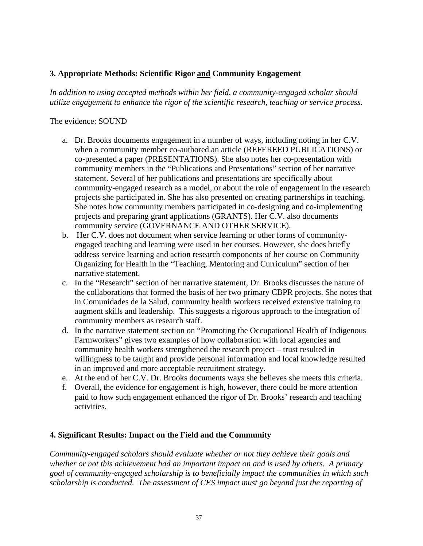# **3. Appropriate Methods: Scientific Rigor and Community Engagement**

*In addition to using accepted methods within her field, a community-engaged scholar should utilize engagement to enhance the rigor of the scientific research, teaching or service process.* 

## The evidence: SOUND

- a. Dr. Brooks documents engagement in a number of ways, including noting in her C.V. when a community member co-authored an article (REFEREED PUBLICATIONS) or co-presented a paper (PRESENTATIONS). She also notes her co-presentation with community members in the "Publications and Presentations" section of her narrative statement. Several of her publications and presentations are specifically about community-engaged research as a model, or about the role of engagement in the research projects she participated in. She has also presented on creating partnerships in teaching. She notes how community members participated in co-designing and co-implementing projects and preparing grant applications (GRANTS). Her C.V. also documents community service (GOVERNANCE AND OTHER SERVICE).
- b. Her C.V. does not document when service learning or other forms of communityengaged teaching and learning were used in her courses. However, she does briefly address service learning and action research components of her course on Community Organizing for Health in the "Teaching, Mentoring and Curriculum" section of her narrative statement.
- c. In the "Research" section of her narrative statement, Dr. Brooks discusses the nature of the collaborations that formed the basis of her two primary CBPR projects. She notes that in Comunidades de la Salud, community health workers received extensive training to augment skills and leadership. This suggests a rigorous approach to the integration of community members as research staff.
- d. In the narrative statement section on "Promoting the Occupational Health of Indigenous Farmworkers" gives two examples of how collaboration with local agencies and community health workers strengthened the research project – trust resulted in willingness to be taught and provide personal information and local knowledge resulted in an improved and more acceptable recruitment strategy.
- e. At the end of her C.V. Dr. Brooks documents ways she believes she meets this criteria.
- f. Overall, the evidence for engagement is high, however, there could be more attention paid to how such engagement enhanced the rigor of Dr. Brooks' research and teaching activities.

# **4. Significant Results: Impact on the Field and the Community**

*Community-engaged scholars should evaluate whether or not they achieve their goals and whether or not this achievement had an important impact on and is used by others. A primary goal of community-engaged scholarship is to beneficially impact the communities in which such scholarship is conducted. The assessment of CES impact must go beyond just the reporting of*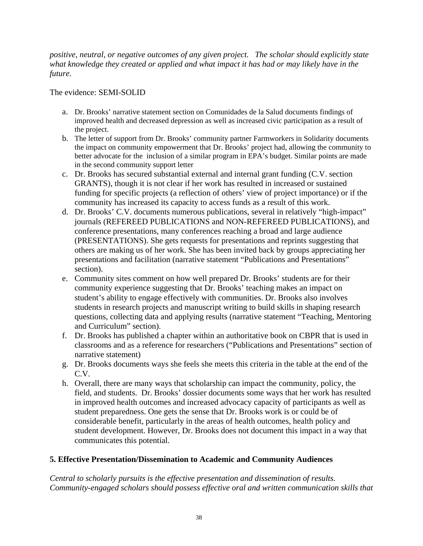*positive, neutral, or negative outcomes of any given project. The scholar should explicitly state what knowledge they created or applied and what impact it has had or may likely have in the future.* 

The evidence: SEMI-SOLID

- a. Dr. Brooks' narrative statement section on Comunidades de la Salud documents findings of improved health and decreased depression as well as increased civic participation as a result of the project.
- b. The letter of support from Dr. Brooks' community partner Farmworkers in Solidarity documents the impact on community empowerment that Dr. Brooks' project had, allowing the community to better advocate for the inclusion of a similar program in EPA's budget. Similar points are made in the second community support letter
- c. Dr. Brooks has secured substantial external and internal grant funding (C.V. section GRANTS), though it is not clear if her work has resulted in increased or sustained funding for specific projects (a reflection of others' view of project importance) or if the community has increased its capacity to access funds as a result of this work.
- d. Dr. Brooks' C.V. documents numerous publications, several in relatively "high-impact" journals (REFEREED PUBLICATIONS and NON-REFEREED PUBLICATIONS), and conference presentations, many conferences reaching a broad and large audience (PRESENTATIONS). She gets requests for presentations and reprints suggesting that others are making us of her work. She has been invited back by groups appreciating her presentations and facilitation (narrative statement "Publications and Presentations" section).
- e. Community sites comment on how well prepared Dr. Brooks' students are for their community experience suggesting that Dr. Brooks' teaching makes an impact on student's ability to engage effectively with communities. Dr. Brooks also involves students in research projects and manuscript writing to build skills in shaping research questions, collecting data and applying results (narrative statement "Teaching, Mentoring and Curriculum" section).
- f. Dr. Brooks has published a chapter within an authoritative book on CBPR that is used in classrooms and as a reference for researchers ("Publications and Presentations" section of narrative statement)
- g. Dr. Brooks documents ways she feels she meets this criteria in the table at the end of the C.V.
- h. Overall, there are many ways that scholarship can impact the community, policy, the field, and students. Dr. Brooks' dossier documents some ways that her work has resulted in improved health outcomes and increased advocacy capacity of participants as well as student preparedness. One gets the sense that Dr. Brooks work is or could be of considerable benefit, particularly in the areas of health outcomes, health policy and student development. However, Dr. Brooks does not document this impact in a way that communicates this potential.

# **5. Effective Presentation/Dissemination to Academic and Community Audiences**

*Central to scholarly pursuits is the effective presentation and dissemination of results. Community-engaged scholars should possess effective oral and written communication skills that*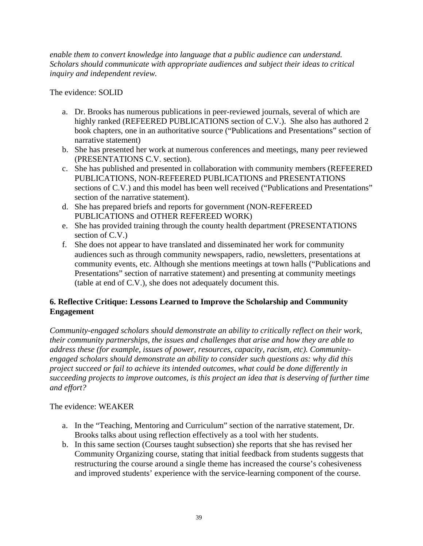*enable them to convert knowledge into language that a public audience can understand. Scholars should communicate with appropriate audiences and subject their ideas to critical inquiry and independent review.* 

The evidence: SOLID

- a. Dr. Brooks has numerous publications in peer-reviewed journals, several of which are highly ranked (REFEERED PUBLICATIONS section of C.V.). She also has authored 2 book chapters, one in an authoritative source ("Publications and Presentations" section of narrative statement)
- b. She has presented her work at numerous conferences and meetings, many peer reviewed (PRESENTATIONS C.V. section).
- c. She has published and presented in collaboration with community members (REFEERED PUBLICATIONS, NON-REFEERED PUBLICATIONS and PRESENTATIONS sections of C.V.) and this model has been well received ("Publications and Presentations" section of the narrative statement).
- d. She has prepared briefs and reports for government (NON-REFEREED PUBLICATIONS and OTHER REFEREED WORK)
- e. She has provided training through the county health department (PRESENTATIONS section of C.V.)
- f. She does not appear to have translated and disseminated her work for community audiences such as through community newspapers, radio, newsletters, presentations at community events, etc. Although she mentions meetings at town halls ("Publications and Presentations" section of narrative statement) and presenting at community meetings (table at end of C.V.), she does not adequately document this.

# **6. Reflective Critique: Lessons Learned to Improve the Scholarship and Community Engagement**

*Community-engaged scholars should demonstrate an ability to critically reflect on their work, their community partnerships, the issues and challenges that arise and how they are able to address these (for example, issues of power, resources, capacity, racism, etc). Communityengaged scholars should demonstrate an ability to consider such questions as: why did this project succeed or fail to achieve its intended outcomes, what could be done differently in succeeding projects to improve outcomes, is this project an idea that is deserving of further time and effort?* 

## The evidence: WEAKER

- a. In the "Teaching, Mentoring and Curriculum" section of the narrative statement, Dr. Brooks talks about using reflection effectively as a tool with her students.
- b. In this same section (Courses taught subsection) she reports that she has revised her Community Organizing course, stating that initial feedback from students suggests that restructuring the course around a single theme has increased the course's cohesiveness and improved students' experience with the service-learning component of the course.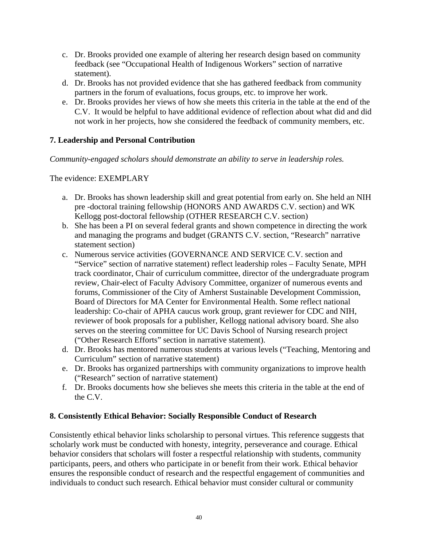- c. Dr. Brooks provided one example of altering her research design based on community feedback (see "Occupational Health of Indigenous Workers" section of narrative statement).
- d. Dr. Brooks has not provided evidence that she has gathered feedback from community partners in the forum of evaluations, focus groups, etc. to improve her work.
- e. Dr. Brooks provides her views of how she meets this criteria in the table at the end of the C.V. It would be helpful to have additional evidence of reflection about what did and did not work in her projects, how she considered the feedback of community members, etc.

# **7. Leadership and Personal Contribution**

*Community-engaged scholars should demonstrate an ability to serve in leadership roles.* 

The evidence: EXEMPLARY

- a. Dr. Brooks has shown leadership skill and great potential from early on. She held an NIH pre -doctoral training fellowship (HONORS AND AWARDS C.V. section) and WK Kellogg post-doctoral fellowship (OTHER RESEARCH C.V. section)
- b. She has been a PI on several federal grants and shown competence in directing the work and managing the programs and budget (GRANTS C.V. section, "Research" narrative statement section)
- c. Numerous service activities (GOVERNANCE AND SERVICE C.V. section and "Service" section of narrative statement) reflect leadership roles – Faculty Senate, MPH track coordinator, Chair of curriculum committee, director of the undergraduate program review, Chair-elect of Faculty Advisory Committee, organizer of numerous events and forums, Commissioner of the City of Amherst Sustainable Development Commission, Board of Directors for MA Center for Environmental Health. Some reflect national leadership: Co-chair of APHA caucus work group, grant reviewer for CDC and NIH, reviewer of book proposals for a publisher, Kellogg national advisory board. She also serves on the steering committee for UC Davis School of Nursing research project ("Other Research Efforts" section in narrative statement).
- d. Dr. Brooks has mentored numerous students at various levels ("Teaching, Mentoring and Curriculum" section of narrative statement)
- e. Dr. Brooks has organized partnerships with community organizations to improve health ("Research" section of narrative statement)
- f. Dr. Brooks documents how she believes she meets this criteria in the table at the end of the C.V.

# **8. Consistently Ethical Behavior: Socially Responsible Conduct of Research**

Consistently ethical behavior links scholarship to personal virtues. This reference suggests that scholarly work must be conducted with honesty, integrity, perseverance and courage. Ethical behavior considers that scholars will foster a respectful relationship with students, community participants, peers, and others who participate in or benefit from their work. Ethical behavior ensures the responsible conduct of research and the respectful engagement of communities and individuals to conduct such research. Ethical behavior must consider cultural or community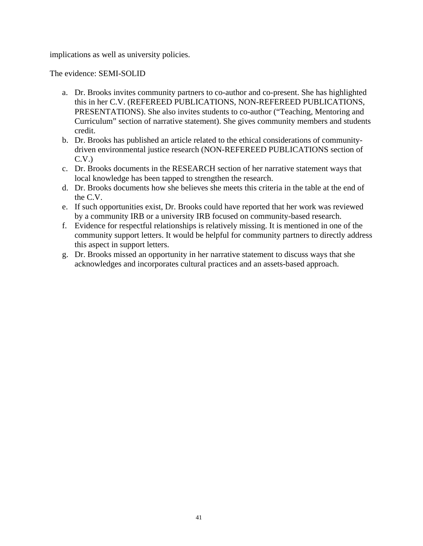implications as well as university policies.

The evidence: SEMI-SOLID

- a. Dr. Brooks invites community partners to co-author and co-present. She has highlighted this in her C.V. (REFEREED PUBLICATIONS, NON-REFEREED PUBLICATIONS, PRESENTATIONS). She also invites students to co-author ("Teaching, Mentoring and Curriculum" section of narrative statement). She gives community members and students credit.
- b. Dr. Brooks has published an article related to the ethical considerations of communitydriven environmental justice research (NON-REFEREED PUBLICATIONS section of C.V.)
- c. Dr. Brooks documents in the RESEARCH section of her narrative statement ways that local knowledge has been tapped to strengthen the research.
- d. Dr. Brooks documents how she believes she meets this criteria in the table at the end of the C.V.
- e. If such opportunities exist, Dr. Brooks could have reported that her work was reviewed by a community IRB or a university IRB focused on community-based research.
- f. Evidence for respectful relationships is relatively missing. It is mentioned in one of the community support letters. It would be helpful for community partners to directly address this aspect in support letters.
- g. Dr. Brooks missed an opportunity in her narrative statement to discuss ways that she acknowledges and incorporates cultural practices and an assets-based approach.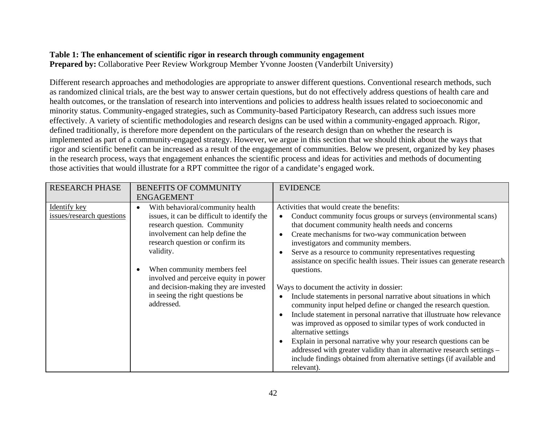# **Table 1: The enhancement of scientific rigor in research through community engagement**

**Prepared by:** Collaborative Peer Review Workgroup Member Yvonne Joosten (Vanderbilt University)

Different research approaches and methodologies are appropriate to answer different questions. Conventional research methods, such as randomized clinical trials, are the best way to answer certain questions, but do not effectively address questions of health care and health outcomes, or the translation of research into interventions and policies to address health issues related to socioeconomic and minority status. Community-engaged strategies, such as Community-based Participatory Research, can address such issues more effectively. A variety of scientific methodologies and research designs can be used within a community-engaged approach. Rigor, defined traditionally, is therefore more dependent on the particulars of the research design than on whether the research is implemented as part of a community-engaged strategy. However, we argue in this section that we should think about the ways that rigor and scientific benefit can be increased as a result of the engagement of communities. Below we present, organized by key phases in the research process, ways that engagement enhances the scientific process and ideas for activities and methods of documenting those activities that would illustrate for a RPT committee the rigor of a candidate's engaged work.

| <b>RESEARCH PHASE</b>                     | <b>BENEFITS OF COMMUNITY</b><br><b>ENGAGEMENT</b>                                                                                                                                                                                                                                                                                                                      | <b>EVIDENCE</b>                                                                                                                                                                                                                                                                                                                                                                                                                                                                                                                                                                                                                                                                                                                                                                                                                                                                                                                                                                                                           |
|-------------------------------------------|------------------------------------------------------------------------------------------------------------------------------------------------------------------------------------------------------------------------------------------------------------------------------------------------------------------------------------------------------------------------|---------------------------------------------------------------------------------------------------------------------------------------------------------------------------------------------------------------------------------------------------------------------------------------------------------------------------------------------------------------------------------------------------------------------------------------------------------------------------------------------------------------------------------------------------------------------------------------------------------------------------------------------------------------------------------------------------------------------------------------------------------------------------------------------------------------------------------------------------------------------------------------------------------------------------------------------------------------------------------------------------------------------------|
| Identify key<br>issues/research questions | With behavioral/community health<br>issues, it can be difficult to identify the<br>research question. Community<br>involvement can help define the<br>research question or confirm its<br>validity.<br>When community members feel<br>involved and perceive equity in power<br>and decision-making they are invested<br>in seeing the right questions be<br>addressed. | Activities that would create the benefits:<br>Conduct community focus groups or surveys (environmental scans)<br>that document community health needs and concerns<br>Create mechanisms for two-way communication between<br>investigators and community members.<br>Serve as a resource to community representatives requesting<br>assistance on specific health issues. Their issues can generate research<br>questions.<br>Ways to document the activity in dossier:<br>Include statements in personal narrative about situations in which<br>community input helped define or changed the research question.<br>Include statement in personal narrative that illustruate how relevance<br>was improved as opposed to similar types of work conducted in<br>alternative settings<br>Explain in personal narrative why your research questions can be<br>addressed with greater validity than in alternative research settings -<br>include findings obtained from alternative settings (if available and<br>relevant). |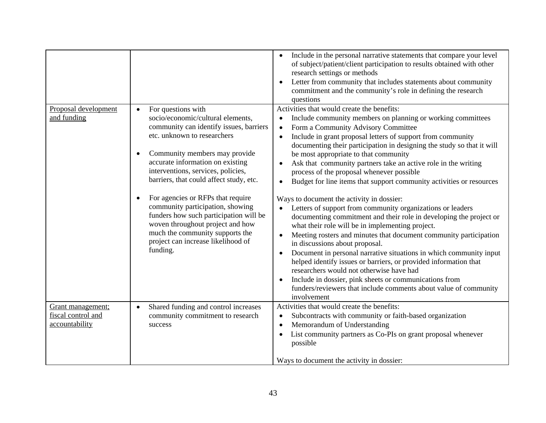| Proposal development<br>and funding                       | For questions with<br>socio/economic/cultural elements,<br>community can identify issues, barriers<br>etc. unknown to researchers<br>Community members may provide<br>accurate information on existing<br>interventions, services, policies,<br>barriers, that could affect study, etc.<br>For agencies or RFPs that require<br>community participation, showing<br>funders how such participation will be<br>woven throughout project and how | Include in the personal narrative statements that compare your level<br>$\bullet$<br>of subject/patient/client participation to results obtained with other<br>research settings or methods<br>Letter from community that includes statements about community<br>commitment and the community's role in defining the research<br>questions<br>Activities that would create the benefits:<br>Include community members on planning or working committees<br>Form a Community Advisory Committee<br>$\bullet$<br>Include in grant proposal letters of support from community<br>$\bullet$<br>documenting their participation in designing the study so that it will<br>be most appropriate to that community<br>Ask that community partners take an active role in the writing<br>process of the proposal whenever possible<br>Budget for line items that support community activities or resources<br>$\bullet$<br>Ways to document the activity in dossier:<br>Letters of support from community organizations or leaders<br>documenting commitment and their role in developing the project or<br>what their role will be in implementing project. |
|-----------------------------------------------------------|------------------------------------------------------------------------------------------------------------------------------------------------------------------------------------------------------------------------------------------------------------------------------------------------------------------------------------------------------------------------------------------------------------------------------------------------|-----------------------------------------------------------------------------------------------------------------------------------------------------------------------------------------------------------------------------------------------------------------------------------------------------------------------------------------------------------------------------------------------------------------------------------------------------------------------------------------------------------------------------------------------------------------------------------------------------------------------------------------------------------------------------------------------------------------------------------------------------------------------------------------------------------------------------------------------------------------------------------------------------------------------------------------------------------------------------------------------------------------------------------------------------------------------------------------------------------------------------------------------------|
|                                                           | much the community supports the<br>project can increase likelihood of<br>funding.                                                                                                                                                                                                                                                                                                                                                              | Meeting rosters and minutes that document community participation<br>in discussions about proposal.<br>Document in personal narrative situations in which community input<br>$\bullet$<br>helped identify issues or barriers, or provided information that<br>researchers would not otherwise have had<br>Include in dossier, pink sheets or communications from<br>$\bullet$<br>funders/reviewers that include comments about value of community<br>involvement                                                                                                                                                                                                                                                                                                                                                                                                                                                                                                                                                                                                                                                                                    |
| Grant management;<br>fiscal control and<br>accountability | Shared funding and control increases<br>community commitment to research<br>success                                                                                                                                                                                                                                                                                                                                                            | Activities that would create the benefits:<br>Subcontracts with community or faith-based organization<br>Memorandum of Understanding<br>List community partners as Co-PIs on grant proposal whenever<br>possible<br>Ways to document the activity in dossier:                                                                                                                                                                                                                                                                                                                                                                                                                                                                                                                                                                                                                                                                                                                                                                                                                                                                                       |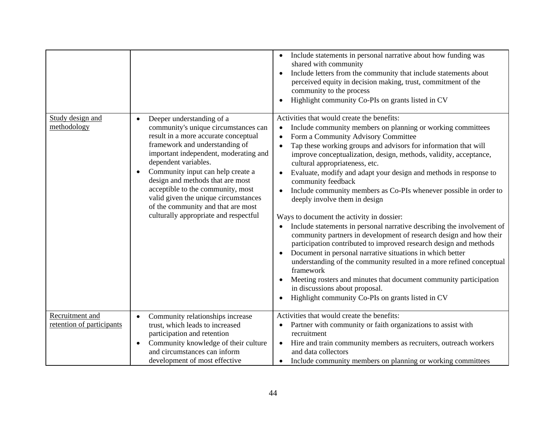|                                              |                                                                                                                                                                                                                                                                                                                                                                                                                                                   | Include statements in personal narrative about how funding was<br>shared with community<br>Include letters from the community that include statements about<br>perceived equity in decision making, trust, commitment of the<br>community to the process<br>Highlight community Co-PIs on grants listed in CV                                                                                                                                                                                                                                                                                                                                                                                                                                                                                                                                                                                                                                                                                                                                                                                               |
|----------------------------------------------|---------------------------------------------------------------------------------------------------------------------------------------------------------------------------------------------------------------------------------------------------------------------------------------------------------------------------------------------------------------------------------------------------------------------------------------------------|-------------------------------------------------------------------------------------------------------------------------------------------------------------------------------------------------------------------------------------------------------------------------------------------------------------------------------------------------------------------------------------------------------------------------------------------------------------------------------------------------------------------------------------------------------------------------------------------------------------------------------------------------------------------------------------------------------------------------------------------------------------------------------------------------------------------------------------------------------------------------------------------------------------------------------------------------------------------------------------------------------------------------------------------------------------------------------------------------------------|
| Study design and<br>methodology              | Deeper understanding of a<br>community's unique circumstances can<br>result in a more accurate conceptual<br>framework and understanding of<br>important independent, moderating and<br>dependent variables.<br>Community input can help create a<br>design and methods that are most<br>acceptible to the community, most<br>valid given the unique circumstances<br>of the community and that are most<br>culturally appropriate and respectful | Activities that would create the benefits:<br>Include community members on planning or working committees<br>Form a Community Advisory Committee<br>Tap these working groups and advisors for information that will<br>improve conceptualization, design, methods, validity, acceptance,<br>cultural appropriateness, etc.<br>Evaluate, modify and adapt your design and methods in response to<br>community feedback<br>Include community members as Co-PIs whenever possible in order to<br>deeply involve them in design<br>Ways to document the activity in dossier:<br>Include statements in personal narrative describing the involvement of<br>community partners in development of research design and how their<br>participation contributed to improved research design and methods<br>Document in personal narrative situations in which better<br>understanding of the community resulted in a more refined conceptual<br>framework<br>Meeting rosters and minutes that document community participation<br>in discussions about proposal.<br>Highlight community Co-PIs on grants listed in CV |
| Recruitment and<br>retention of participants | Community relationships increase<br>trust, which leads to increased<br>participation and retention<br>Community knowledge of their culture<br>$\bullet$<br>and circumstances can inform<br>development of most effective                                                                                                                                                                                                                          | Activities that would create the benefits:<br>Partner with community or faith organizations to assist with<br>recruitment<br>Hire and train community members as recruiters, outreach workers<br>$\bullet$<br>and data collectors<br>Include community members on planning or working committees                                                                                                                                                                                                                                                                                                                                                                                                                                                                                                                                                                                                                                                                                                                                                                                                            |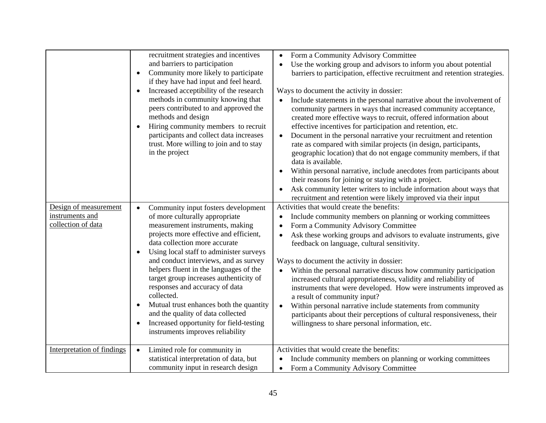|                                                                | recruitment strategies and incentives<br>and barriers to participation<br>Community more likely to participate<br>if they have had input and feel heard.<br>Increased acceptibility of the research<br>methods in community knowing that<br>peers contributed to and approved the<br>methods and design<br>Hiring community members to recruit<br>participants and collect data increases<br>trust. More willing to join and to stay<br>in the project                                                                                                                     | Form a Community Advisory Committee<br>$\bullet$<br>Use the working group and advisors to inform you about potential<br>barriers to participation, effective recruitment and retention strategies.<br>Ways to document the activity in dossier:<br>Include statements in the personal narrative about the involvement of<br>$\bullet$<br>community partners in ways that increased community acceptance,<br>created more effective ways to recruit, offered information about<br>effective incentives for participation and retention, etc.<br>Document in the personal narrative your recruitment and retention<br>$\bullet$<br>rate as compared with similar projects (in design, participants,<br>geographic location) that do not engage community members, if that<br>data is available.<br>Within personal narrative, include anecdotes from participants about<br>their reasons for joining or staying with a project.<br>Ask community letter writers to include information about ways that<br>recruitment and retention were likely improved via their input |
|----------------------------------------------------------------|----------------------------------------------------------------------------------------------------------------------------------------------------------------------------------------------------------------------------------------------------------------------------------------------------------------------------------------------------------------------------------------------------------------------------------------------------------------------------------------------------------------------------------------------------------------------------|------------------------------------------------------------------------------------------------------------------------------------------------------------------------------------------------------------------------------------------------------------------------------------------------------------------------------------------------------------------------------------------------------------------------------------------------------------------------------------------------------------------------------------------------------------------------------------------------------------------------------------------------------------------------------------------------------------------------------------------------------------------------------------------------------------------------------------------------------------------------------------------------------------------------------------------------------------------------------------------------------------------------------------------------------------------------|
| Design of measurement<br>instruments and<br>collection of data | Community input fosters development<br>of more culturally appropriate<br>measurement instruments, making<br>projects more effective and efficient,<br>data collection more accurate<br>Using local staff to administer surveys<br>and conduct interviews, and as survey<br>helpers fluent in the languages of the<br>target group increases authenticity of<br>responses and accuracy of data<br>collected.<br>Mutual trust enhances both the quantity<br>and the quality of data collected<br>Increased opportunity for field-testing<br>instruments improves reliability | Activities that would create the benefits:<br>Include community members on planning or working committees<br>Form a Community Advisory Committee<br>Ask these working groups and advisors to evaluate instruments, give<br>feedback on language, cultural sensitivity.<br>Ways to document the activity in dossier:<br>Within the personal narrative discuss how community participation<br>increased cultural appropriateness, validity and reliability of<br>instruments that were developed. How were instruments improved as<br>a result of community input?<br>Within personal narrative include statements from community<br>participants about their perceptions of cultural responsiveness, their<br>willingness to share personal information, etc.                                                                                                                                                                                                                                                                                                           |
| Interpretation of findings                                     | Limited role for community in<br>statistical interpretation of data, but<br>community input in research design                                                                                                                                                                                                                                                                                                                                                                                                                                                             | Activities that would create the benefits:<br>Include community members on planning or working committees<br>Form a Community Advisory Committee                                                                                                                                                                                                                                                                                                                                                                                                                                                                                                                                                                                                                                                                                                                                                                                                                                                                                                                       |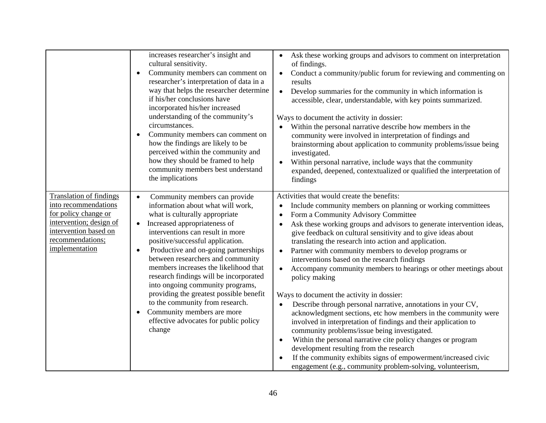|                                                                                                                                                                          | increases researcher's insight and<br>cultural sensitivity.<br>Community members can comment on<br>$\bullet$<br>researcher's interpretation of data in a<br>way that helps the researcher determine<br>if his/her conclusions have<br>incorporated his/her increased<br>understanding of the community's<br>circumstances.<br>Community members can comment on<br>how the findings are likely to be<br>perceived within the community and<br>how they should be framed to help<br>community members best understand<br>the implications                                                                   | Ask these working groups and advisors to comment on interpretation<br>of findings.<br>Conduct a community/public forum for reviewing and commenting on<br>$\bullet$<br>results<br>Develop summaries for the community in which information is<br>$\bullet$<br>accessible, clear, understandable, with key points summarized.<br>Ways to document the activity in dossier:<br>Within the personal narrative describe how members in the<br>community were involved in interpretation of findings and<br>brainstorming about application to community problems/issue being<br>investigated.<br>Within personal narrative, include ways that the community<br>expanded, deepened, contextualized or qualified the interpretation of<br>findings                                                                                                                                                                                                                                                                                                                                                                            |
|--------------------------------------------------------------------------------------------------------------------------------------------------------------------------|-----------------------------------------------------------------------------------------------------------------------------------------------------------------------------------------------------------------------------------------------------------------------------------------------------------------------------------------------------------------------------------------------------------------------------------------------------------------------------------------------------------------------------------------------------------------------------------------------------------|-------------------------------------------------------------------------------------------------------------------------------------------------------------------------------------------------------------------------------------------------------------------------------------------------------------------------------------------------------------------------------------------------------------------------------------------------------------------------------------------------------------------------------------------------------------------------------------------------------------------------------------------------------------------------------------------------------------------------------------------------------------------------------------------------------------------------------------------------------------------------------------------------------------------------------------------------------------------------------------------------------------------------------------------------------------------------------------------------------------------------|
| <b>Translation of findings</b><br>into recommendations<br>for policy change or<br>intervention; design of<br>intervention based on<br>recommendations;<br>implementation | Community members can provide<br>information about what will work,<br>what is culturally appropriate<br>Increased appropriateness of<br>$\bullet$<br>interventions can result in more<br>positive/successful application.<br>Productive and on-going partnerships<br>$\bullet$<br>between researchers and community<br>members increases the likelihood that<br>research findings will be incorporated<br>into ongoing community programs,<br>providing the greatest possible benefit<br>to the community from research.<br>Community members are more<br>effective advocates for public policy<br>change | Activities that would create the benefits:<br>Include community members on planning or working committees<br>Form a Community Advisory Committee<br>Ask these working groups and advisors to generate intervention ideas,<br>give feedback on cultural sensitivity and to give ideas about<br>translating the research into action and application.<br>Partner with community members to develop programs or<br>$\bullet$<br>interventions based on the research findings<br>Accompany community members to hearings or other meetings about<br>policy making<br>Ways to document the activity in dossier:<br>Describe through personal narrative, annotations in your CV,<br>acknowledgment sections, etc how members in the community were<br>involved in interpretation of findings and their application to<br>community problems/issue being investigated.<br>Within the personal narrative cite policy changes or program<br>development resulting from the research<br>If the community exhibits signs of empowerment/increased civic<br>$\bullet$<br>engagement (e.g., community problem-solving, volunteerism, |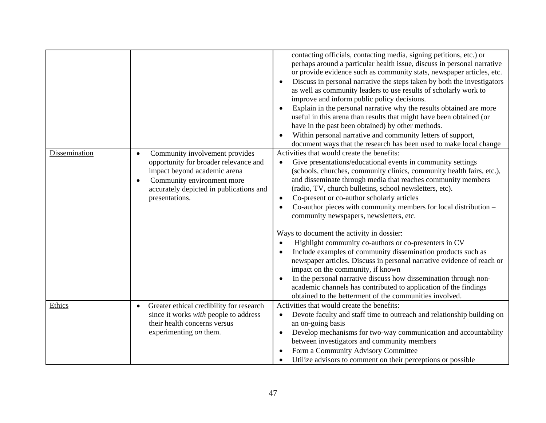|               |                                                                                                                                                                                                                 | contacting officials, contacting media, signing petitions, etc.) or<br>perhaps around a particular health issue, discuss in personal narrative<br>or provide evidence such as community stats, newspaper articles, etc.<br>Discuss in personal narrative the steps taken by both the investigators<br>as well as community leaders to use results of scholarly work to<br>improve and inform public policy decisions.<br>Explain in the personal narrative why the results obtained are more<br>useful in this arena than results that might have been obtained (or<br>have in the past been obtained) by other methods.<br>Within personal narrative and community letters of support,<br>document ways that the research has been used to make local change                                                                                                                                                                                                                                |
|---------------|-----------------------------------------------------------------------------------------------------------------------------------------------------------------------------------------------------------------|----------------------------------------------------------------------------------------------------------------------------------------------------------------------------------------------------------------------------------------------------------------------------------------------------------------------------------------------------------------------------------------------------------------------------------------------------------------------------------------------------------------------------------------------------------------------------------------------------------------------------------------------------------------------------------------------------------------------------------------------------------------------------------------------------------------------------------------------------------------------------------------------------------------------------------------------------------------------------------------------|
| Dissemination | Community involvement provides<br>opportunity for broader relevance and<br>impact beyond academic arena<br>Community environment more<br>$\bullet$<br>accurately depicted in publications and<br>presentations. | Activities that would create the benefits:<br>Give presentations/educational events in community settings<br>$\bullet$<br>(schools, churches, community clinics, community health fairs, etc.),<br>and disseminate through media that reaches community members<br>(radio, TV, church bulletins, school newsletters, etc).<br>Co-present or co-author scholarly articles<br>$\bullet$<br>Co-author pieces with community members for local distribution -<br>community newspapers, newsletters, etc.<br>Ways to document the activity in dossier:<br>Highlight community co-authors or co-presenters in CV<br>Include examples of community dissemination products such as<br>newspaper articles. Discuss in personal narrative evidence of reach or<br>impact on the community, if known<br>In the personal narrative discuss how dissemination through non-<br>academic channels has contributed to application of the findings<br>obtained to the betterment of the communities involved. |
| Ethics        | Greater ethical credibility for research<br>since it works <i>with</i> people to address<br>their health concerns versus<br>experimenting on them.                                                              | Activities that would create the benefits:<br>Devote faculty and staff time to outreach and relationship building on<br>an on-going basis<br>Develop mechanisms for two-way communication and accountability<br>between investigators and community members<br>Form a Community Advisory Committee<br>Utilize advisors to comment on their perceptions or possible                                                                                                                                                                                                                                                                                                                                                                                                                                                                                                                                                                                                                           |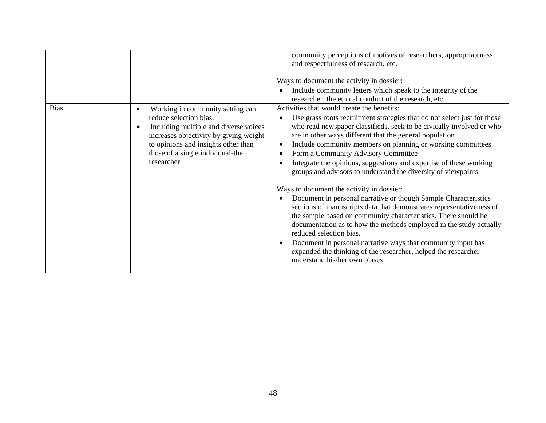|             |                                                                                                                                                                                                                                        | community perceptions of motives of researchers, appropriateness<br>and respectfulness of research, etc.<br>Ways to document the activity in dossier:<br>Include community letters which speak to the integrity of the<br>researcher, the ethical conduct of the research, etc.                                                                                                                                                                                                                                                                                                                                                                                                                                                                                                                                                                                                                                                                                                                                                      |
|-------------|----------------------------------------------------------------------------------------------------------------------------------------------------------------------------------------------------------------------------------------|--------------------------------------------------------------------------------------------------------------------------------------------------------------------------------------------------------------------------------------------------------------------------------------------------------------------------------------------------------------------------------------------------------------------------------------------------------------------------------------------------------------------------------------------------------------------------------------------------------------------------------------------------------------------------------------------------------------------------------------------------------------------------------------------------------------------------------------------------------------------------------------------------------------------------------------------------------------------------------------------------------------------------------------|
| <b>Bias</b> | Working in community setting can<br>reduce selection bias.<br>Including multiple and diverse voices<br>increases objectivity by giving weight<br>to opinions and insights other than<br>those of a single individual-the<br>researcher | Activities that would create the benefits:<br>Use grass roots recruitment strategies that do not select just for those<br>who read newspaper classifieds, seek to be civically involved or who<br>are in other ways different that the general population<br>Include community members on planning or working committees<br>Form a Community Advisory Committee<br>Integrate the opinions, suggestions and expertise of these working<br>groups and advisors to understand the diversity of viewpoints<br>Ways to document the activity in dossier:<br>Document in personal narrative or though Sample Characteristics<br>sections of manuscripts data that demonstrates representativeness of<br>the sample based on community characteristics. There should be<br>documentation as to how the methods employed in the study actually<br>reduced selection bias.<br>Document in personal narrative ways that community input has<br>expanded the thinking of the researcher, helped the researcher<br>understand his/her own biases |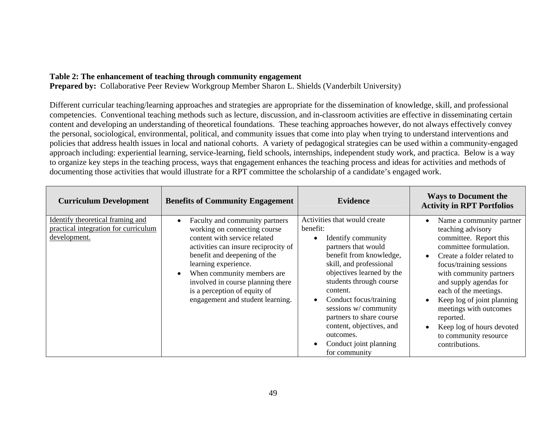## **Table 2: The enhancement of teaching through community engagement**

**Prepared by:** Collaborative Peer Review Workgroup Member Sharon L. Shields (Vanderbilt University)

Different curricular teaching/learning approaches and strategies are appropriate for the dissemination of knowledge, skill, and professional competencies. Conventional teaching methods such as lecture, discussion, and in-classroom activities are effective in disseminating certain content and developing an understanding of theoretical foundations. These teaching approaches however, do not always effectively convey the personal, sociological, environmental, political, and community issues that come into play when trying to understand interventions and policies that address health issues in local and national cohorts. A variety of pedagogical strategies can be used within a community-engaged approach including: experiential learning, service-learning, field schools, internships, independent study work, and practica. Below is a way to organize key steps in the teaching process, ways that engagement enhances the teaching process and ideas for activities and methods of documenting those activities that would illustrate for a RPT committee the scholarship of a candidate's engaged work.

| <b>Curriculum Development</b>                                                            | <b>Benefits of Community Engagement</b>                                                                                                                                                                                                                                                                                                                         | <b>Evidence</b>                                                                                                                                                                                                                                                                                                                                                                   | <b>Ways to Document the</b><br><b>Activity in RPT Portfolios</b>                                                                                                                                                                                                                                                                                                                                                |
|------------------------------------------------------------------------------------------|-----------------------------------------------------------------------------------------------------------------------------------------------------------------------------------------------------------------------------------------------------------------------------------------------------------------------------------------------------------------|-----------------------------------------------------------------------------------------------------------------------------------------------------------------------------------------------------------------------------------------------------------------------------------------------------------------------------------------------------------------------------------|-----------------------------------------------------------------------------------------------------------------------------------------------------------------------------------------------------------------------------------------------------------------------------------------------------------------------------------------------------------------------------------------------------------------|
| Identify theoretical framing and<br>practical integration for curriculum<br>development. | Faculty and community partners<br>$\bullet$<br>working on connecting course<br>content with service related<br>activities can insure reciprocity of<br>benefit and deepening of the<br>learning experience.<br>When community members are<br>$\bullet$<br>involved in course planning there<br>is a perception of equity of<br>engagement and student learning. | Activities that would create<br>benefit:<br>Identify community<br>partners that would<br>benefit from knowledge,<br>skill, and professional<br>objectives learned by the<br>students through course<br>content.<br>Conduct focus/training<br>sessions w/community<br>partners to share course<br>content, objectives, and<br>outcomes.<br>Conduct joint planning<br>for community | Name a community partner<br>$\bullet$<br>teaching advisory<br>committee. Report this<br>committee formulation.<br>Create a folder related to<br>$\bullet$<br>focus/training sessions<br>with community partners<br>and supply agendas for<br>each of the meetings.<br>Keep log of joint planning<br>meetings with outcomes<br>reported.<br>Keep log of hours devoted<br>to community resource<br>contributions. |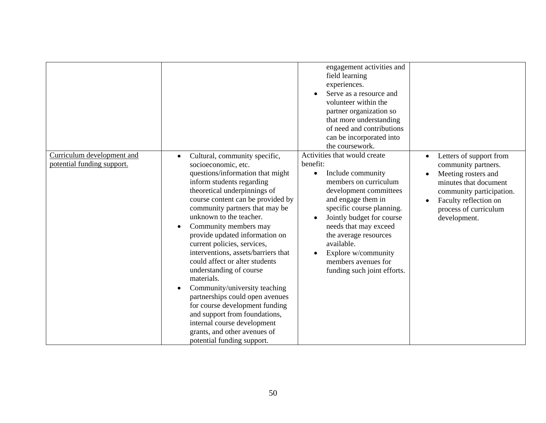|                                                          |                                                                                                                                                                                                                                                                                                                                                                                                                                                                                                                                                                                                                                                                                                                                                | engagement activities and<br>field learning<br>experiences.<br>Serve as a resource and<br>volunteer within the<br>partner organization so<br>that more understanding<br>of need and contributions<br>can be incorporated into<br>the coursework.                                                                                                           |                                                                                                                                                                                              |
|----------------------------------------------------------|------------------------------------------------------------------------------------------------------------------------------------------------------------------------------------------------------------------------------------------------------------------------------------------------------------------------------------------------------------------------------------------------------------------------------------------------------------------------------------------------------------------------------------------------------------------------------------------------------------------------------------------------------------------------------------------------------------------------------------------------|------------------------------------------------------------------------------------------------------------------------------------------------------------------------------------------------------------------------------------------------------------------------------------------------------------------------------------------------------------|----------------------------------------------------------------------------------------------------------------------------------------------------------------------------------------------|
| Curriculum development and<br>potential funding support. | Cultural, community specific,<br>$\bullet$<br>socioeconomic, etc.<br>questions/information that might<br>inform students regarding<br>theoretical underpinnings of<br>course content can be provided by<br>community partners that may be<br>unknown to the teacher.<br>Community members may<br>$\bullet$<br>provide updated information on<br>current policies, services,<br>interventions, assets/barriers that<br>could affect or alter students<br>understanding of course<br>materials.<br>Community/university teaching<br>$\bullet$<br>partnerships could open avenues<br>for course development funding<br>and support from foundations,<br>internal course development<br>grants, and other avenues of<br>potential funding support. | Activities that would create<br>benefit:<br>Include community<br>$\bullet$<br>members on curriculum<br>development committees<br>and engage them in<br>specific course planning.<br>Jointly budget for course<br>needs that may exceed<br>the average resources<br>available.<br>Explore w/community<br>members avenues for<br>funding such joint efforts. | Letters of support from<br>community partners.<br>Meeting rosters and<br>minutes that document<br>community participation.<br>Faculty reflection on<br>process of curriculum<br>development. |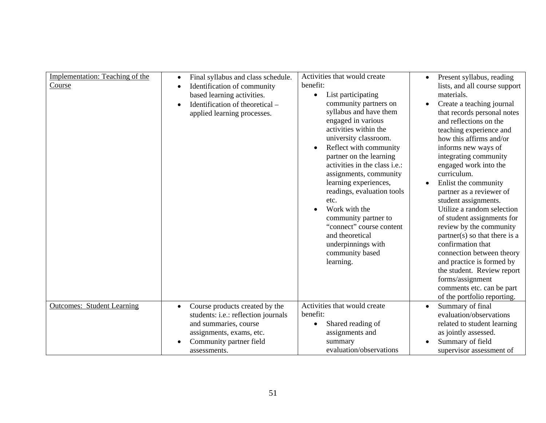| Implementation: Teaching of the<br>Course | Final syllabus and class schedule.<br>Identification of community<br>$\bullet$<br>based learning activities.<br>Identification of theoretical –<br>applied learning processes. | Activities that would create<br>benefit:<br>List participating<br>$\bullet$<br>community partners on<br>syllabus and have them<br>engaged in various<br>activities within the<br>university classroom.<br>Reflect with community<br>partner on the learning<br>activities in the class <i>i.e.</i> :<br>assignments, community<br>learning experiences,<br>readings, evaluation tools<br>etc.<br>Work with the<br>community partner to<br>"connect" course content<br>and theoretical<br>underpinnings with<br>community based<br>learning. | Present syllabus, reading<br>$\bullet$<br>lists, and all course support<br>materials.<br>Create a teaching journal<br>that records personal notes<br>and reflections on the<br>teaching experience and<br>how this affirms and/or<br>informs new ways of<br>integrating community<br>engaged work into the<br>curriculum.<br>Enlist the community<br>partner as a reviewer of<br>student assignments.<br>Utilize a random selection<br>of student assignments for<br>review by the community<br>partner(s) so that there is a<br>confirmation that<br>connection between theory<br>and practice is formed by<br>the student. Review report<br>forms/assignment<br>comments etc. can be part<br>of the portfolio reporting. |
|-------------------------------------------|--------------------------------------------------------------------------------------------------------------------------------------------------------------------------------|---------------------------------------------------------------------------------------------------------------------------------------------------------------------------------------------------------------------------------------------------------------------------------------------------------------------------------------------------------------------------------------------------------------------------------------------------------------------------------------------------------------------------------------------|----------------------------------------------------------------------------------------------------------------------------------------------------------------------------------------------------------------------------------------------------------------------------------------------------------------------------------------------------------------------------------------------------------------------------------------------------------------------------------------------------------------------------------------------------------------------------------------------------------------------------------------------------------------------------------------------------------------------------|
| <b>Outcomes: Student Learning</b>         | Course products created by the<br>students: i.e.: reflection journals<br>and summaries, course<br>assignments, exams, etc.<br>Community partner field                          | Activities that would create<br>benefit:<br>Shared reading of<br>$\bullet$<br>assignments and<br>summary                                                                                                                                                                                                                                                                                                                                                                                                                                    | Summary of final<br>$\bullet$<br>evaluation/observations<br>related to student learning<br>as jointly assessed.<br>Summary of field                                                                                                                                                                                                                                                                                                                                                                                                                                                                                                                                                                                        |
|                                           | assessments.                                                                                                                                                                   | evaluation/observations                                                                                                                                                                                                                                                                                                                                                                                                                                                                                                                     | supervisor assessment of                                                                                                                                                                                                                                                                                                                                                                                                                                                                                                                                                                                                                                                                                                   |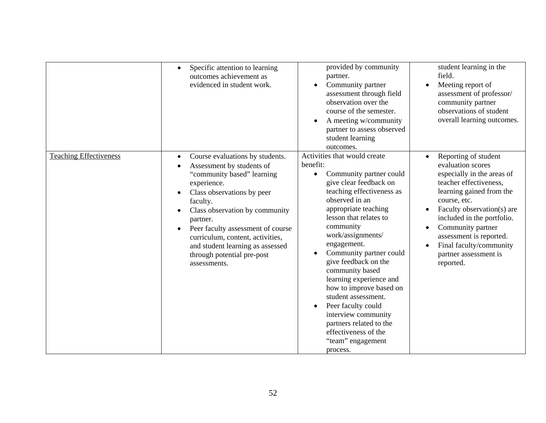|                               | Specific attention to learning<br>$\bullet$<br>outcomes achievement as<br>evidenced in student work.                                                                                                                                                                                                                                                                                                             | provided by community<br>partner.<br>Community partner<br>assessment through field<br>observation over the<br>course of the semester.<br>A meeting w/community<br>partner to assess observed<br>student learning<br>outcomes.                                                                                                                                                                                                                                                                                                                    | student learning in the<br>field.<br>Meeting report of<br>assessment of professor/<br>community partner<br>observations of student<br>overall learning outcomes.                                                                                                                                                           |
|-------------------------------|------------------------------------------------------------------------------------------------------------------------------------------------------------------------------------------------------------------------------------------------------------------------------------------------------------------------------------------------------------------------------------------------------------------|--------------------------------------------------------------------------------------------------------------------------------------------------------------------------------------------------------------------------------------------------------------------------------------------------------------------------------------------------------------------------------------------------------------------------------------------------------------------------------------------------------------------------------------------------|----------------------------------------------------------------------------------------------------------------------------------------------------------------------------------------------------------------------------------------------------------------------------------------------------------------------------|
| <b>Teaching Effectiveness</b> | Course evaluations by students.<br>$\bullet$<br>Assessment by students of<br>$\bullet$<br>"community based" learning<br>experience.<br>Class observations by peer<br>$\bullet$<br>faculty.<br>Class observation by community<br>partner.<br>Peer faculty assessment of course<br>$\bullet$<br>curriculum, content, activities,<br>and student learning as assessed<br>through potential pre-post<br>assessments. | Activities that would create<br>benefit:<br>Community partner could<br>$\bullet$<br>give clear feedback on<br>teaching effectiveness as<br>observed in an<br>appropriate teaching<br>lesson that relates to<br>community<br>work/assignments/<br>engagement.<br>Community partner could<br>give feedback on the<br>community based<br>learning experience and<br>how to improve based on<br>student assessment.<br>Peer faculty could<br>interview community<br>partners related to the<br>effectiveness of the<br>"team" engagement<br>process. | Reporting of student<br>evaluation scores<br>especially in the areas of<br>teacher effectiveness,<br>learning gained from the<br>course, etc.<br>Faculty observation(s) are<br>included in the portfolio.<br>Community partner<br>assessment is reported.<br>Final faculty/community<br>partner assessment is<br>reported. |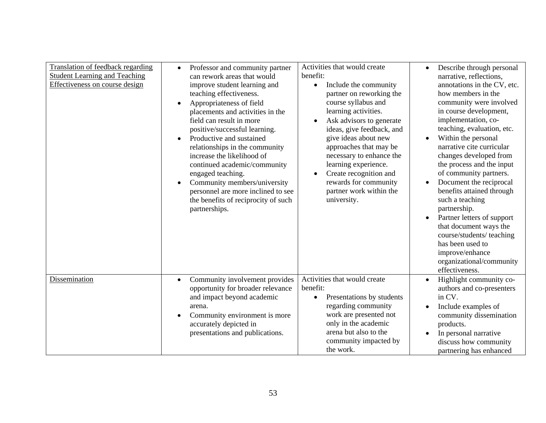| Translation of feedback regarding<br><b>Student Learning and Teaching</b><br>Effectiveness on course design | Professor and community partner<br>can rework areas that would<br>improve student learning and<br>teaching effectiveness.<br>Appropriateness of field<br>$\bullet$<br>placements and activities in the<br>field can result in more<br>positive/successful learning.<br>Productive and sustained<br>relationships in the community<br>increase the likelihood of<br>continued academic/community<br>engaged teaching.<br>Community members/university<br>personnel are more inclined to see<br>the benefits of reciprocity of such<br>partnerships. | Activities that would create<br>benefit:<br>Include the community<br>$\bullet$<br>partner on reworking the<br>course syllabus and<br>learning activities.<br>Ask advisors to generate<br>ideas, give feedback, and<br>give ideas about new<br>approaches that may be<br>necessary to enhance the<br>learning experience.<br>Create recognition and<br>rewards for community<br>partner work within the<br>university. | Describe through personal<br>$\bullet$<br>narrative, reflections,<br>annotations in the CV, etc.<br>how members in the<br>community were involved<br>in course development,<br>implementation, co-<br>teaching, evaluation, etc.<br>Within the personal<br>narrative cite curricular<br>changes developed from<br>the process and the input<br>of community partners.<br>Document the reciprocal<br>benefits attained through<br>such a teaching<br>partnership.<br>Partner letters of support<br>that document ways the<br>course/students/ teaching<br>has been used to<br>improve/enhance<br>organizational/community<br>effectiveness. |
|-------------------------------------------------------------------------------------------------------------|----------------------------------------------------------------------------------------------------------------------------------------------------------------------------------------------------------------------------------------------------------------------------------------------------------------------------------------------------------------------------------------------------------------------------------------------------------------------------------------------------------------------------------------------------|-----------------------------------------------------------------------------------------------------------------------------------------------------------------------------------------------------------------------------------------------------------------------------------------------------------------------------------------------------------------------------------------------------------------------|--------------------------------------------------------------------------------------------------------------------------------------------------------------------------------------------------------------------------------------------------------------------------------------------------------------------------------------------------------------------------------------------------------------------------------------------------------------------------------------------------------------------------------------------------------------------------------------------------------------------------------------------|
| Dissemination                                                                                               | Community involvement provides<br>$\bullet$<br>opportunity for broader relevance<br>and impact beyond academic<br>arena.<br>Community environment is more<br>accurately depicted in<br>presentations and publications.                                                                                                                                                                                                                                                                                                                             | Activities that would create<br>benefit:<br>Presentations by students<br>regarding community<br>work are presented not<br>only in the academic<br>arena but also to the<br>community impacted by<br>the work.                                                                                                                                                                                                         | Highlight community co-<br>$\bullet$<br>authors and co-presenters<br>in CV.<br>Include examples of<br>$\bullet$<br>community dissemination<br>products.<br>In personal narrative<br>discuss how community<br>partnering has enhanced                                                                                                                                                                                                                                                                                                                                                                                                       |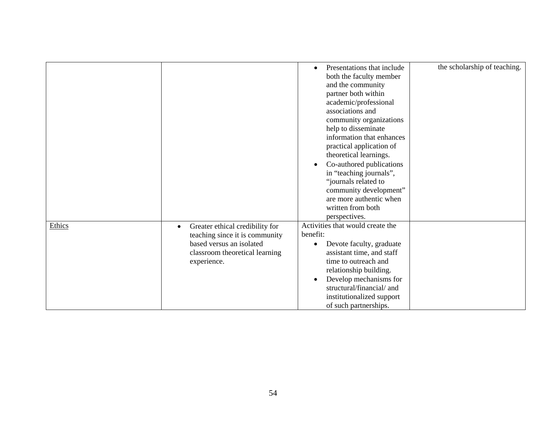|        |                                              | Presentations that include<br>both the faculty member<br>and the community<br>partner both within<br>academic/professional<br>associations and<br>community organizations<br>help to disseminate<br>information that enhances<br>practical application of<br>theoretical learnings.<br>Co-authored publications<br>in "teaching journals", | the scholarship of teaching. |
|--------|----------------------------------------------|--------------------------------------------------------------------------------------------------------------------------------------------------------------------------------------------------------------------------------------------------------------------------------------------------------------------------------------------|------------------------------|
|        |                                              | "journals related to                                                                                                                                                                                                                                                                                                                       |                              |
|        |                                              | community development"                                                                                                                                                                                                                                                                                                                     |                              |
|        |                                              | are more authentic when<br>written from both                                                                                                                                                                                                                                                                                               |                              |
|        |                                              | perspectives.                                                                                                                                                                                                                                                                                                                              |                              |
| Ethics | Greater ethical credibility for<br>$\bullet$ | Activities that would create the                                                                                                                                                                                                                                                                                                           |                              |
|        | teaching since it is community               | benefit:                                                                                                                                                                                                                                                                                                                                   |                              |
|        | based versus an isolated                     | Devote faculty, graduate                                                                                                                                                                                                                                                                                                                   |                              |
|        | classroom theoretical learning               | assistant time, and staff                                                                                                                                                                                                                                                                                                                  |                              |
|        | experience.                                  | time to outreach and                                                                                                                                                                                                                                                                                                                       |                              |
|        |                                              | relationship building.                                                                                                                                                                                                                                                                                                                     |                              |
|        |                                              | Develop mechanisms for<br>$\bullet$                                                                                                                                                                                                                                                                                                        |                              |
|        |                                              | structural/financial/ and                                                                                                                                                                                                                                                                                                                  |                              |
|        |                                              | institutionalized support                                                                                                                                                                                                                                                                                                                  |                              |
|        |                                              | of such partnerships.                                                                                                                                                                                                                                                                                                                      |                              |